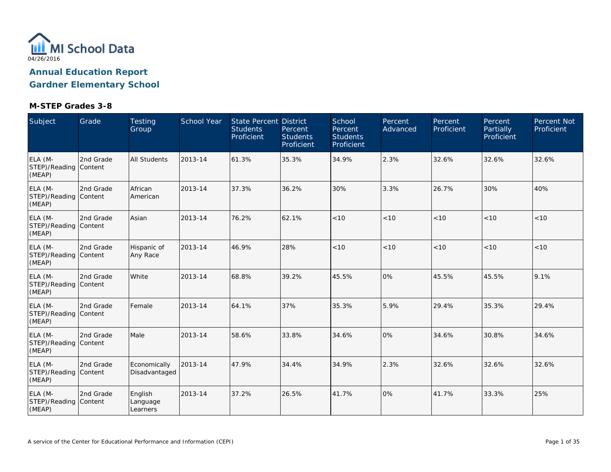

| Subject                                    | Grade     | Testing<br>Group                | School Year | <b>State Percent District</b><br><b>Students</b><br>Proficient | Percent<br><b>Students</b><br>Proficient | School<br>Percent<br><b>Students</b><br>Proficient | Percent<br>Advanced | Percent<br>Proficient | Percent<br>Partially<br>Proficient | <b>Percent Not</b><br>Proficient |
|--------------------------------------------|-----------|---------------------------------|-------------|----------------------------------------------------------------|------------------------------------------|----------------------------------------------------|---------------------|-----------------------|------------------------------------|----------------------------------|
| ELA (M-<br>STEP)/Reading Content<br>(MEAP) | 2nd Grade | <b>All Students</b>             | 2013-14     | 61.3%                                                          | 35.3%                                    | 34.9%                                              | 2.3%                | 32.6%                 | 32.6%                              | 32.6%                            |
| ELA (M-<br>STEP)/Reading Content<br>(MEAP) | 2nd Grade | African<br>American             | 2013-14     | 37.3%                                                          | 36.2%                                    | 30%                                                | 3.3%                | 26.7%                 | 30%                                | 40%                              |
| ELA (M-<br>STEP)/Reading Content<br>(MEAP) | 2nd Grade | Asian                           | 2013-14     | 76.2%                                                          | 62.1%                                    | < 10                                               | < 10                | < 10                  | < 10                               | < 10                             |
| ELA (M-<br>STEP)/Reading Content<br>(MEAP) | 2nd Grade | Hispanic of<br>Any Race         | 2013-14     | 46.9%                                                          | 28%                                      | < 10                                               | < 10                | $<10$                 | < 10                               | $<10$                            |
| ELA (M-<br>STEP)/Reading Content<br>(MEAP) | 2nd Grade | White                           | 2013-14     | 68.8%                                                          | 39.2%                                    | 45.5%                                              | 0%                  | 45.5%                 | 45.5%                              | 9.1%                             |
| ELA (M-<br>STEP)/Reading Content<br>(MEAP) | 2nd Grade | Female                          | 2013-14     | 64.1%                                                          | 37%                                      | 35.3%                                              | 5.9%                | 29.4%                 | 35.3%                              | 29.4%                            |
| ELA (M-<br>STEP)/Reading Content<br>(MEAP) | 2nd Grade | Male                            | 2013-14     | 58.6%                                                          | 33.8%                                    | 34.6%                                              | 0%                  | 34.6%                 | 30.8%                              | 34.6%                            |
| ELA (M-<br>STEP)/Reading Content<br>(MEAP) | 2nd Grade | Economically<br>Disadvantaged   | 2013-14     | 47.9%                                                          | 34.4%                                    | 34.9%                                              | 2.3%                | 32.6%                 | 32.6%                              | 32.6%                            |
| ELA (M-<br>STEP)/Reading Content<br>(MEAP) | 2nd Grade | English<br>Language<br>Learners | 2013-14     | 37.2%                                                          | 26.5%                                    | 41.7%                                              | 0%                  | 41.7%                 | 33.3%                              | 25%                              |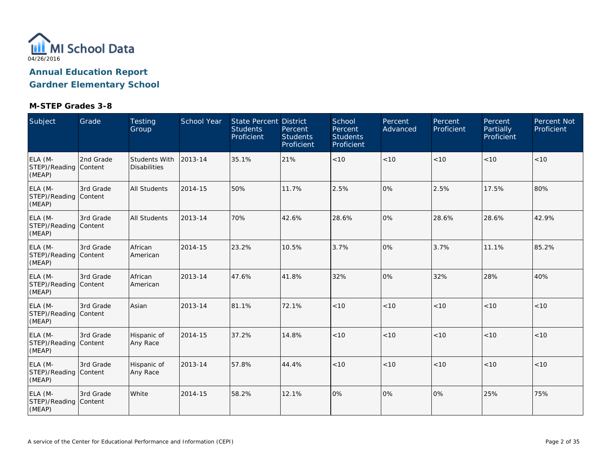

| Subject                                    | Grade     | <b>Testing</b><br>Group              | <b>School Year</b> | <b>State Percent District</b><br><b>Students</b><br>Proficient | Percent<br><b>Students</b><br>Proficient | School<br>Percent<br><b>Students</b><br>Proficient | Percent<br>Advanced | Percent<br>Proficient | Percent<br><b>Partially</b><br>Proficient | <b>Percent Not</b><br>Proficient |
|--------------------------------------------|-----------|--------------------------------------|--------------------|----------------------------------------------------------------|------------------------------------------|----------------------------------------------------|---------------------|-----------------------|-------------------------------------------|----------------------------------|
| ELA (M-<br>STEP)/Reading Content<br>(MEAP) | 2nd Grade | Students With<br><b>Disabilities</b> | 2013-14            | 35.1%                                                          | 21%                                      | < 10                                               | < 10                | < 10                  | < 10                                      | <10                              |
| ELA (M-<br>STEP)/Reading Content<br>(MEAP) | 3rd Grade | <b>All Students</b>                  | 2014-15            | 50%                                                            | 11.7%                                    | 2.5%                                               | 0%                  | 2.5%                  | 17.5%                                     | 80%                              |
| ELA (M-<br>STEP)/Reading Content<br>(MEAP) | 3rd Grade | <b>All Students</b>                  | 2013-14            | 70%                                                            | 42.6%                                    | 28.6%                                              | 0%                  | 28.6%                 | 28.6%                                     | 42.9%                            |
| ELA (M-<br>STEP)/Reading Content<br>(MEAP) | 3rd Grade | African<br>American                  | 2014-15            | 23.2%                                                          | 10.5%                                    | 3.7%                                               | 0%                  | 3.7%                  | 11.1%                                     | 85.2%                            |
| ELA (M-<br>STEP)/Reading Content<br>(MEAP) | 3rd Grade | African<br>American                  | 2013-14            | 47.6%                                                          | 41.8%                                    | 32%                                                | 0%                  | 32%                   | 28%                                       | 40%                              |
| ELA (M-<br>STEP)/Reading Content<br>(MEAP) | 3rd Grade | Asian                                | 2013-14            | 81.1%                                                          | 72.1%                                    | < 10                                               | < 10                | < 10                  | < 10                                      | $<10$                            |
| ELA (M-<br>STEP)/Reading Content<br>(MEAP) | 3rd Grade | Hispanic of<br>Any Race              | 2014-15            | 37.2%                                                          | 14.8%                                    | < 10                                               | < 10                | < 10                  | < 10                                      | < 10                             |
| ELA (M-<br>STEP)/Reading Content<br>(MEAP) | 3rd Grade | Hispanic of<br>Any Race              | 2013-14            | 57.8%                                                          | 44.4%                                    | < 10                                               | < 10                | < 10                  | < 10                                      | < 10                             |
| ELA (M-<br>STEP)/Reading Content<br>(MEAP) | 3rd Grade | White                                | 2014-15            | 58.2%                                                          | 12.1%                                    | 0%                                                 | 0%                  | 0%                    | 25%                                       | 75%                              |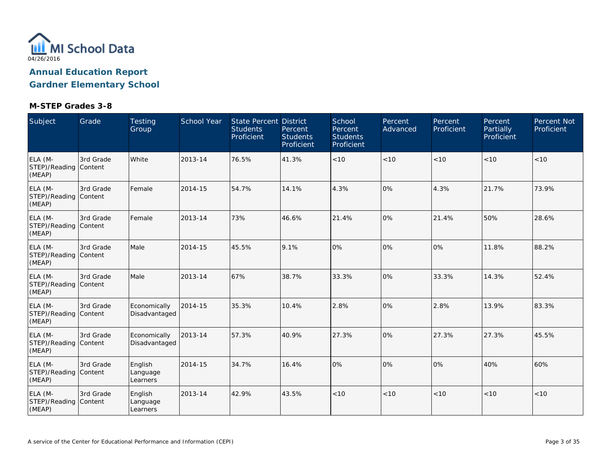

| Subject                                    | Grade     | Testing<br>Group                | <b>School Year</b> | <b>State Percent District</b><br><b>Students</b><br>Proficient | Percent<br><b>Students</b><br>Proficient | School<br>Percent<br><b>Students</b><br>Proficient | Percent<br>Advanced | Percent<br>Proficient | Percent<br>Partially<br>Proficient | Percent Not<br>Proficient |
|--------------------------------------------|-----------|---------------------------------|--------------------|----------------------------------------------------------------|------------------------------------------|----------------------------------------------------|---------------------|-----------------------|------------------------------------|---------------------------|
| ELA (M-<br>STEP)/Reading Content<br>(MEAP) | 3rd Grade | White                           | 2013-14            | 76.5%                                                          | 41.3%                                    | $<10$                                              | $<10$               | < 10                  | < 10                               | $<10$                     |
| ELA (M-<br>STEP)/Reading Content<br>(MEAP) | 3rd Grade | Female                          | 2014-15            | 54.7%                                                          | 14.1%                                    | 4.3%                                               | 0%                  | 4.3%                  | 21.7%                              | 73.9%                     |
| ELA (M-<br>STEP)/Reading Content<br>(MEAP) | 3rd Grade | Female                          | 2013-14            | 73%                                                            | 46.6%                                    | 21.4%                                              | 0%                  | 21.4%                 | 50%                                | 28.6%                     |
| ELA (M-<br>STEP)/Reading Content<br>(MEAP) | 3rd Grade | Male                            | 2014-15            | 45.5%                                                          | 9.1%                                     | 0%                                                 | 0%                  | 0%                    | 11.8%                              | 88.2%                     |
| ELA (M-<br>STEP)/Reading Content<br>(MEAP) | 3rd Grade | Male                            | 2013-14            | 67%                                                            | 38.7%                                    | 33.3%                                              | 0%                  | 33.3%                 | 14.3%                              | 52.4%                     |
| ELA (M-<br>STEP)/Reading Content<br>(MEAP) | 3rd Grade | Economically<br>Disadvantaged   | 2014-15            | 35.3%                                                          | 10.4%                                    | 2.8%                                               | 0%                  | 2.8%                  | 13.9%                              | 83.3%                     |
| ELA (M-<br>STEP)/Reading Content<br>(MEAP) | 3rd Grade | Economically<br>Disadvantaged   | 2013-14            | 57.3%                                                          | 40.9%                                    | 27.3%                                              | 0%                  | 27.3%                 | 27.3%                              | 45.5%                     |
| ELA (M-<br>STEP)/Reading Content<br>(MEAP) | 3rd Grade | English<br>Language<br>Learners | 2014-15            | 34.7%                                                          | 16.4%                                    | 0%                                                 | 0%                  | 0%                    | 40%                                | 60%                       |
| ELA (M-<br>STEP)/Reading Content<br>(MEAP) | 3rd Grade | English<br>Language<br>Learners | 2013-14            | 42.9%                                                          | 43.5%                                    | < 10                                               | < 10                | < 10                  | < 10                               | < 10                      |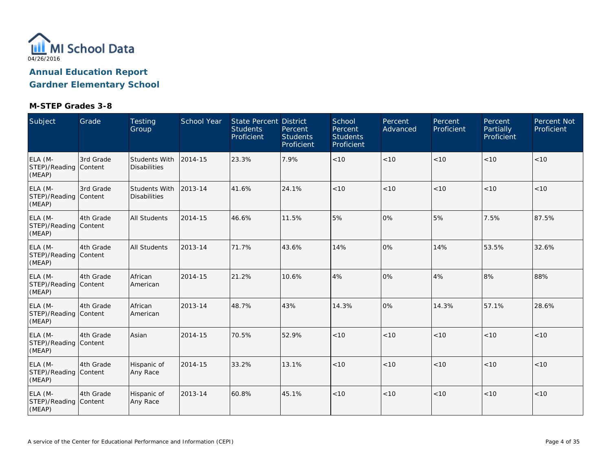

| Subject                                    | Grade     | <b>Testing</b><br>Group              | School Year | <b>State Percent District</b><br><b>Students</b><br>Proficient | Percent<br><b>Students</b><br>Proficient | School<br>Percent<br><b>Students</b><br>Proficient | Percent<br>Advanced | Percent<br>Proficient | Percent<br>Partially<br>Proficient | <b>Percent Not</b><br>Proficient |
|--------------------------------------------|-----------|--------------------------------------|-------------|----------------------------------------------------------------|------------------------------------------|----------------------------------------------------|---------------------|-----------------------|------------------------------------|----------------------------------|
| ELA (M-<br>STEP)/Reading Content<br>(MEAP) | 3rd Grade | Students With<br><b>Disabilities</b> | 2014-15     | 23.3%                                                          | 7.9%                                     | < 10                                               | < 10                | < 10                  | < 10                               | < 10                             |
| ELA (M-<br>STEP)/Reading Content<br>(MEAP) | 3rd Grade | Students With<br><b>Disabilities</b> | 2013-14     | 41.6%                                                          | 24.1%                                    | < 10                                               | < 10                | < 10                  | < 10                               | < 10                             |
| ELA (M-<br>STEP)/Reading Content<br>(MEAP) | 4th Grade | <b>All Students</b>                  | 2014-15     | 46.6%                                                          | 11.5%                                    | 5%                                                 | 0%                  | 5%                    | 7.5%                               | 87.5%                            |
| ELA (M-<br>STEP)/Reading Content<br>(MEAP) | 4th Grade | <b>All Students</b>                  | 2013-14     | 71.7%                                                          | 43.6%                                    | 14%                                                | 0%                  | 14%                   | 53.5%                              | 32.6%                            |
| ELA (M-<br>STEP)/Reading Content<br>(MEAP) | 4th Grade | African<br>American                  | 2014-15     | 21.2%                                                          | 10.6%                                    | 4%                                                 | 0%                  | 4%                    | 8%                                 | 88%                              |
| ELA (M-<br>STEP)/Reading Content<br>(MEAP) | 4th Grade | African<br>American                  | 2013-14     | 48.7%                                                          | 43%                                      | 14.3%                                              | 0%                  | 14.3%                 | 57.1%                              | 28.6%                            |
| ELA (M-<br>STEP)/Reading Content<br>(MEAP) | 4th Grade | Asian                                | 2014-15     | 70.5%                                                          | 52.9%                                    | $<10$                                              | $<10$               | < 10                  | < 10                               | $<10$                            |
| ELA (M-<br>STEP)/Reading Content<br>(MEAP) | 4th Grade | Hispanic of<br>Any Race              | 2014-15     | 33.2%                                                          | 13.1%                                    | < 10                                               | < 10                | < 10                  | < 10                               | < 10                             |
| ELA (M-<br>STEP)/Reading Content<br>(MEAP) | 4th Grade | Hispanic of<br>Any Race              | 2013-14     | 60.8%                                                          | 45.1%                                    | $<10$                                              | $<10$               | < 10                  | < 10                               | $<10$                            |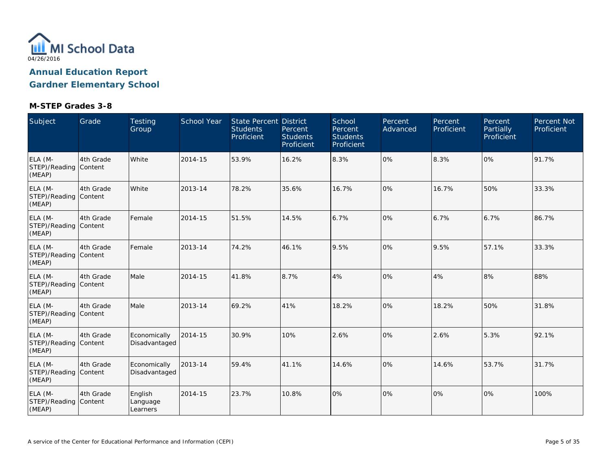

| Subject                                    | Grade     | <b>Testing</b><br>Group         | School Year | <b>State Percent District</b><br><b>Students</b><br>Proficient | Percent<br><b>Students</b><br>Proficient | School<br>Percent<br><b>Students</b><br>Proficient | Percent<br>Advanced | Percent<br>Proficient | Percent<br>Partially<br>Proficient | Percent Not<br>Proficient |
|--------------------------------------------|-----------|---------------------------------|-------------|----------------------------------------------------------------|------------------------------------------|----------------------------------------------------|---------------------|-----------------------|------------------------------------|---------------------------|
| ELA (M-<br>STEP)/Reading Content<br>(MEAP) | 4th Grade | White                           | 2014-15     | 53.9%                                                          | 16.2%                                    | 8.3%                                               | 0%                  | 8.3%                  | 0%                                 | 91.7%                     |
| ELA (M-<br>STEP)/Reading Content<br>(MEAP) | 4th Grade | White                           | 2013-14     | 78.2%                                                          | 35.6%                                    | 16.7%                                              | 0%                  | 16.7%                 | 50%                                | 33.3%                     |
| ELA (M-<br>STEP)/Reading Content<br>(MEAP) | 4th Grade | Female                          | 2014-15     | 51.5%                                                          | 14.5%                                    | 6.7%                                               | 0%                  | 6.7%                  | 6.7%                               | 86.7%                     |
| ELA (M-<br>STEP)/Reading Content<br>(MEAP) | 4th Grade | Female                          | 2013-14     | 74.2%                                                          | 46.1%                                    | 9.5%                                               | 0%                  | 9.5%                  | 57.1%                              | 33.3%                     |
| ELA (M-<br>STEP)/Reading Content<br>(MEAP) | 4th Grade | Male                            | 2014-15     | 41.8%                                                          | 8.7%                                     | 4%                                                 | 0%                  | 4%                    | 8%                                 | 88%                       |
| ELA (M-<br>STEP)/Reading Content<br>(MEAP) | 4th Grade | Male                            | 2013-14     | 69.2%                                                          | 41%                                      | 18.2%                                              | 0%                  | 18.2%                 | 50%                                | 31.8%                     |
| ELA (M-<br>STEP)/Reading Content<br>(MEAP) | 4th Grade | Economically<br>Disadvantaged   | 2014-15     | 30.9%                                                          | 10%                                      | 2.6%                                               | 0%                  | 2.6%                  | 5.3%                               | 92.1%                     |
| ELA (M-<br>STEP)/Reading Content<br>(MEAP) | 4th Grade | Economically<br>Disadvantaged   | 2013-14     | 59.4%                                                          | 41.1%                                    | 14.6%                                              | 0%                  | 14.6%                 | 53.7%                              | 31.7%                     |
| ELA (M-<br>STEP)/Reading Content<br>(MEAP) | 4th Grade | English<br>Language<br>Learners | 2014-15     | 23.7%                                                          | 10.8%                                    | 0%                                                 | 0%                  | 10%                   | 0%                                 | 100%                      |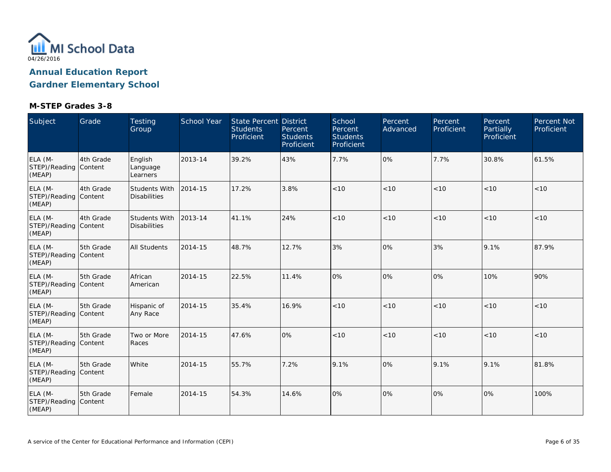

| Subject                                    | Grade     | <b>Testing</b><br>Group              | <b>School Year</b> | <b>State Percent District</b><br><b>Students</b><br>Proficient | Percent<br><b>Students</b><br>Proficient | School<br>Percent<br><b>Students</b><br>Proficient | Percent<br>Advanced | Percent<br>Proficient | Percent<br><b>Partially</b><br>Proficient | <b>Percent Not</b><br>Proficient |
|--------------------------------------------|-----------|--------------------------------------|--------------------|----------------------------------------------------------------|------------------------------------------|----------------------------------------------------|---------------------|-----------------------|-------------------------------------------|----------------------------------|
| ELA (M-<br>STEP)/Reading Content<br>(MEAP) | 4th Grade | English<br>Language<br>Learners      | 2013-14            | 39.2%                                                          | 43%                                      | 7.7%                                               | 0%                  | 7.7%                  | 30.8%                                     | 61.5%                            |
| ELA (M-<br>STEP)/Reading Content<br>(MEAP) | 4th Grade | Students With<br><b>Disabilities</b> | 2014-15            | 17.2%                                                          | 3.8%                                     | $<10$                                              | < 10                | < 10                  | < 10                                      | < 10                             |
| ELA (M-<br>STEP)/Reading Content<br>(MEAP) | 4th Grade | Students With<br><b>Disabilities</b> | 2013-14            | 41.1%                                                          | 24%                                      | < 10                                               | < 10                | < 10                  | < 10                                      | < 10                             |
| ELA (M-<br>STEP)/Reading Content<br>(MEAP) | 5th Grade | <b>All Students</b>                  | 2014-15            | 48.7%                                                          | 12.7%                                    | 3%                                                 | 0%                  | 3%                    | 9.1%                                      | 87.9%                            |
| ELA (M-<br>STEP)/Reading Content<br>(MEAP) | 5th Grade | African<br>American                  | 2014-15            | 22.5%                                                          | 11.4%                                    | 0%                                                 | 0%                  | 0%                    | 10%                                       | 90%                              |
| ELA (M-<br>STEP)/Reading Content<br>(MEAP) | 5th Grade | Hispanic of<br>Any Race              | 2014-15            | 35.4%                                                          | 16.9%                                    | < 10                                               | < 10                | < 10                  | < 10                                      | < 10                             |
| ELA (M-<br>STEP)/Reading Content<br>(MEAP) | 5th Grade | Two or More<br>Races                 | 2014-15            | 47.6%                                                          | 0%                                       | < 10                                               | < 10                | < 10                  | < 10                                      | < 10                             |
| ELA (M-<br>STEP)/Reading Content<br>(MEAP) | 5th Grade | White                                | 2014-15            | 55.7%                                                          | 7.2%                                     | 9.1%                                               | 0%                  | 9.1%                  | 9.1%                                      | 81.8%                            |
| ELA (M-<br>STEP)/Reading Content<br>(MEAP) | 5th Grade | Female                               | 2014-15            | 54.3%                                                          | 14.6%                                    | 0%                                                 | 0%                  | 0%                    | 0%                                        | 100%                             |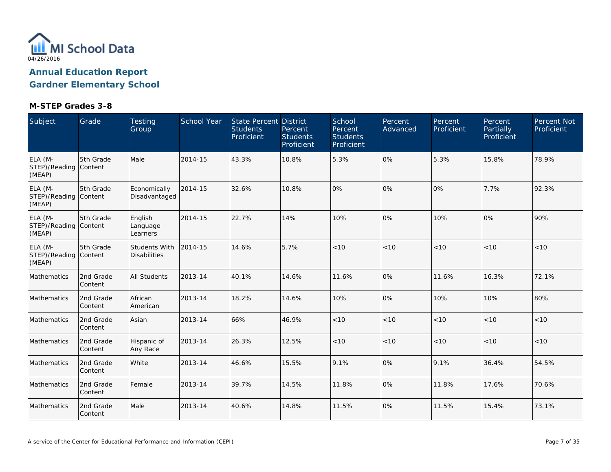

| Subject                                    | Grade                | Testing<br>Group                            | School Year | State Percent District<br><b>Students</b><br>Proficient | Percent<br><b>Students</b><br>Proficient | School<br>Percent<br><b>Students</b><br>Proficient | Percent<br>Advanced | Percent<br>Proficient | Percent<br>Partially<br>Proficient | Percent Not<br>Proficient |
|--------------------------------------------|----------------------|---------------------------------------------|-------------|---------------------------------------------------------|------------------------------------------|----------------------------------------------------|---------------------|-----------------------|------------------------------------|---------------------------|
| ELA (M-<br>STEP)/Reading Content<br>(MEAP) | 5th Grade            | Male                                        | 2014-15     | 43.3%                                                   | 10.8%                                    | 5.3%                                               | 0%                  | 5.3%                  | 15.8%                              | 78.9%                     |
| ELA (M-<br>STEP)/Reading Content<br>(MEAP) | 5th Grade            | Economically<br>Disadvantaged               | 2014-15     | 32.6%                                                   | 10.8%                                    | 0%                                                 | 0%                  | 0%                    | 7.7%                               | 92.3%                     |
| ELA (M-<br>STEP)/Reading Content<br>(MEAP) | 5th Grade            | English<br>Language<br>Learners             | 2014-15     | 22.7%                                                   | 14%                                      | 10%                                                | 0%                  | 10%                   | 0%                                 | 90%                       |
| ELA (M-<br>STEP)/Reading Content<br>(MEAP) | 5th Grade            | <b>Students With</b><br><b>Disabilities</b> | 2014-15     | 14.6%                                                   | 5.7%                                     | < 10                                               | < 10                | < 10                  | < 10                               | < 10                      |
| Mathematics                                | 2nd Grade<br>Content | All Students                                | 2013-14     | 40.1%                                                   | 14.6%                                    | 11.6%                                              | 0%                  | 11.6%                 | 16.3%                              | 72.1%                     |
| Mathematics                                | 2nd Grade<br>Content | African<br>American                         | 2013-14     | 18.2%                                                   | 14.6%                                    | 10%                                                | 0%                  | 10%                   | 10%                                | 80%                       |
| Mathematics                                | 2nd Grade<br>Content | Asian                                       | 2013-14     | 66%                                                     | 46.9%                                    | < 10                                               | < 10                | < 10                  | < 10                               | < 10                      |
| Mathematics                                | 2nd Grade<br>Content | Hispanic of<br>Any Race                     | 2013-14     | 26.3%                                                   | 12.5%                                    | < 10                                               | < 10                | < 10                  | < 10                               | < 10                      |
| Mathematics                                | 2nd Grade<br>Content | White                                       | 2013-14     | 46.6%                                                   | 15.5%                                    | 9.1%                                               | 0%                  | 9.1%                  | 36.4%                              | 54.5%                     |
| Mathematics                                | 2nd Grade<br>Content | Female                                      | 2013-14     | 39.7%                                                   | 14.5%                                    | 11.8%                                              | 0%                  | 11.8%                 | 17.6%                              | 70.6%                     |
| Mathematics                                | 2nd Grade<br>Content | Male                                        | 2013-14     | 40.6%                                                   | 14.8%                                    | 11.5%                                              | 0%                  | 11.5%                 | 15.4%                              | 73.1%                     |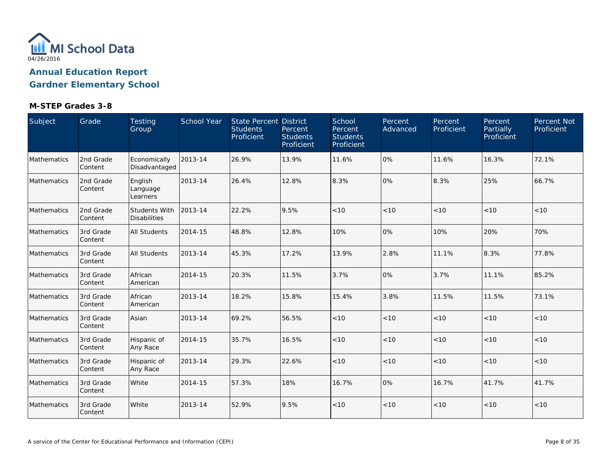

| Subject     | Grade                | Testing<br>Group                            | School Year | State Percent District<br><b>Students</b><br>Proficient | Percent<br><b>Students</b><br>Proficient | School<br>Percent<br><b>Students</b><br>Proficient | Percent<br>Advanced | Percent<br>Proficient | Percent<br>Partially<br>Proficient | Percent Not<br>Proficient |
|-------------|----------------------|---------------------------------------------|-------------|---------------------------------------------------------|------------------------------------------|----------------------------------------------------|---------------------|-----------------------|------------------------------------|---------------------------|
| Mathematics | 2nd Grade<br>Content | Economically<br>Disadvantaged               | 2013-14     | 26.9%                                                   | 13.9%                                    | 11.6%                                              | 0%                  | 11.6%                 | 16.3%                              | 72.1%                     |
| Mathematics | 2nd Grade<br>Content | English<br>Language<br>Learners             | 2013-14     | 26.4%                                                   | 12.8%                                    | 8.3%                                               | 0%                  | 8.3%                  | 25%                                | 66.7%                     |
| Mathematics | 2nd Grade<br>Content | <b>Students With</b><br><b>Disabilities</b> | 2013-14     | 22.2%                                                   | 9.5%                                     | < 10                                               | < 10                | < 10                  | < 10                               | < 10                      |
| Mathematics | 3rd Grade<br>Content | All Students                                | 2014-15     | 48.8%                                                   | 12.8%                                    | 10%                                                | 0%                  | 10%                   | 20%                                | 70%                       |
| Mathematics | 3rd Grade<br>Content | <b>All Students</b>                         | 2013-14     | 45.3%                                                   | 17.2%                                    | 13.9%                                              | 2.8%                | 11.1%                 | 8.3%                               | 77.8%                     |
| Mathematics | 3rd Grade<br>Content | African<br>American                         | 2014-15     | 20.3%                                                   | 11.5%                                    | 3.7%                                               | 0%                  | 3.7%                  | 11.1%                              | 85.2%                     |
| Mathematics | 3rd Grade<br>Content | African<br>American                         | 2013-14     | 18.2%                                                   | 15.8%                                    | 15.4%                                              | 3.8%                | 11.5%                 | 11.5%                              | 73.1%                     |
| Mathematics | 3rd Grade<br>Content | Asian                                       | 2013-14     | 69.2%                                                   | 56.5%                                    | < 10                                               | < 10                | < 10                  | < 10                               | < 10                      |
| Mathematics | 3rd Grade<br>Content | Hispanic of<br>Any Race                     | 2014-15     | 35.7%                                                   | 16.5%                                    | < 10                                               | < 10                | < 10                  | < 10                               | < 10                      |
| Mathematics | 3rd Grade<br>Content | Hispanic of<br>Any Race                     | 2013-14     | 29.3%                                                   | 22.6%                                    | < 10                                               | < 10                | < 10                  | < 10                               | < 10                      |
| Mathematics | 3rd Grade<br>Content | White                                       | 2014-15     | 57.3%                                                   | 18%                                      | 16.7%                                              | 0%                  | 16.7%                 | 41.7%                              | 41.7%                     |
| Mathematics | 3rd Grade<br>Content | White                                       | 2013-14     | 52.9%                                                   | 9.5%                                     | < 10                                               | < 10                | < 10                  | < 10                               | < 10                      |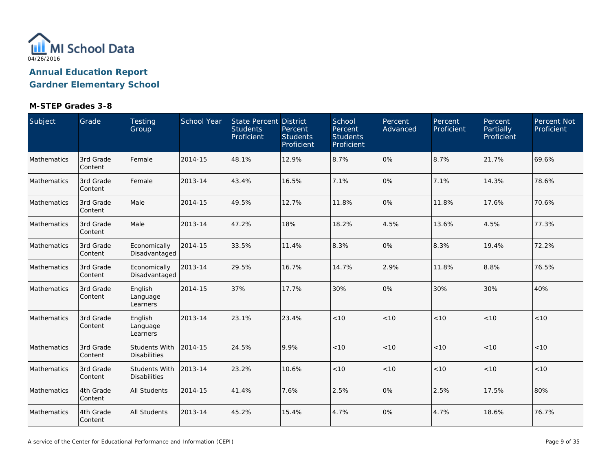

| Subject            | Grade                | Testing<br>Group                            | School Year | State Percent District<br><b>Students</b><br>Proficient | Percent<br><b>Students</b><br>Proficient | School<br>Percent<br><b>Students</b><br>Proficient | Percent<br>Advanced | Percent<br>Proficient | Percent<br>Partially<br>Proficient | Percent Not<br>Proficient |
|--------------------|----------------------|---------------------------------------------|-------------|---------------------------------------------------------|------------------------------------------|----------------------------------------------------|---------------------|-----------------------|------------------------------------|---------------------------|
| Mathematics        | 3rd Grade<br>Content | Female                                      | 2014-15     | 48.1%                                                   | 12.9%                                    | 8.7%                                               | 0%                  | 8.7%                  | 21.7%                              | 69.6%                     |
| Mathematics        | 3rd Grade<br>Content | Female                                      | 2013-14     | 43.4%                                                   | 16.5%                                    | 7.1%                                               | 0%                  | 7.1%                  | 14.3%                              | 78.6%                     |
| Mathematics        | 3rd Grade<br>Content | Male                                        | 2014-15     | 49.5%                                                   | 12.7%                                    | 11.8%                                              | 0%                  | 11.8%                 | 17.6%                              | 70.6%                     |
| Mathematics        | 3rd Grade<br>Content | Male                                        | 2013-14     | 47.2%                                                   | 18%                                      | 18.2%                                              | 4.5%                | 13.6%                 | 4.5%                               | 77.3%                     |
| Mathematics        | 3rd Grade<br>Content | Economically<br>Disadvantaged               | 2014-15     | 33.5%                                                   | 11.4%                                    | 8.3%                                               | 0%                  | 8.3%                  | 19.4%                              | 72.2%                     |
| Mathematics        | 3rd Grade<br>Content | Economically<br>Disadvantaged               | 2013-14     | 29.5%                                                   | 16.7%                                    | 14.7%                                              | 2.9%                | 11.8%                 | 8.8%                               | 76.5%                     |
| <b>Mathematics</b> | 3rd Grade<br>Content | English<br>Language<br>Learners             | 2014-15     | 37%                                                     | 17.7%                                    | 30%                                                | 0%                  | 30%                   | 30%                                | 40%                       |
| Mathematics        | 3rd Grade<br>Content | English<br>Language<br>Learners             | 2013-14     | 23.1%                                                   | 23.4%                                    | < 10                                               | < 10                | < 10                  | < 10                               | < 10                      |
| Mathematics        | 3rd Grade<br>Content | <b>Students With</b><br><b>Disabilities</b> | 2014-15     | 24.5%                                                   | 9.9%                                     | < 10                                               | < 10                | < 10                  | < 10                               | < 10                      |
| Mathematics        | 3rd Grade<br>Content | <b>Students With</b><br><b>Disabilities</b> | 2013-14     | 23.2%                                                   | 10.6%                                    | $<10$                                              | < 10                | $<10$                 | < 10                               | < 10                      |
| Mathematics        | 4th Grade<br>Content | <b>All Students</b>                         | 2014-15     | 41.4%                                                   | 7.6%                                     | 2.5%                                               | 0%                  | 2.5%                  | 17.5%                              | 80%                       |
| Mathematics        | 4th Grade<br>Content | <b>All Students</b>                         | 2013-14     | 45.2%                                                   | 15.4%                                    | 4.7%                                               | 0%                  | 4.7%                  | 18.6%                              | 76.7%                     |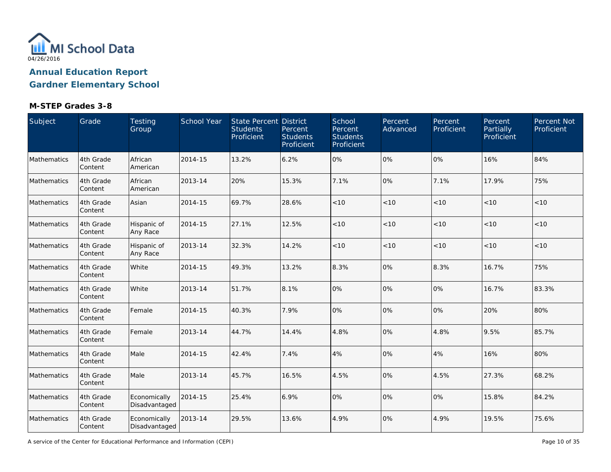

### **M-STEP Grades 3-8**

| Subject     | Grade                 | Testing<br>Group              | <b>School Year</b> | <b>State Percent District</b><br><b>Students</b><br>Proficient | Percent<br><b>Students</b><br>Proficient | School<br>Percent<br><b>Students</b><br>Proficient | Percent<br>Advanced | Percent<br>Proficient | Percent<br>Partially<br>Proficient | Percent Not<br>Proficient |
|-------------|-----------------------|-------------------------------|--------------------|----------------------------------------------------------------|------------------------------------------|----------------------------------------------------|---------------------|-----------------------|------------------------------------|---------------------------|
| Mathematics | 4th Grade<br>Content  | African<br>American           | 2014-15            | 13.2%                                                          | 6.2%                                     | 0%                                                 | 0%                  | 0%                    | 16%                                | 84%                       |
| Mathematics | 4th Grade<br>Content  | African<br>American           | 2013-14            | 20%                                                            | 15.3%                                    | 7.1%                                               | 0%                  | 7.1%                  | 17.9%                              | 75%                       |
| Mathematics | 4th Grade<br>Content  | Asian                         | 2014-15            | 69.7%                                                          | 28.6%                                    | < 10                                               | < 10                | < 10                  | < 10                               | < 10                      |
| Mathematics | 4th Grade<br>Content  | Hispanic of<br>Any Race       | 2014-15            | 27.1%                                                          | 12.5%                                    | < 10                                               | < 10                | < 10                  | < 10                               | < 10                      |
| Mathematics | 4th Grade<br>Content  | Hispanic of<br>Any Race       | 2013-14            | 32.3%                                                          | 14.2%                                    | < 10                                               | < 10                | < 10                  | < 10                               | < 10                      |
| Mathematics | 4th Grade<br>Content  | White                         | 2014-15            | 49.3%                                                          | 13.2%                                    | 8.3%                                               | 0%                  | 8.3%                  | 16.7%                              | 75%                       |
| Mathematics | 4th Grade<br>Content  | White                         | 2013-14            | 51.7%                                                          | 8.1%                                     | 0%                                                 | 0%                  | 0%                    | 16.7%                              | 83.3%                     |
| Mathematics | 4th Grade<br>Content  | Female                        | 2014-15            | 40.3%                                                          | 7.9%                                     | 0%                                                 | 0%                  | 0%                    | 20%                                | 80%                       |
| Mathematics | 4th Grade<br>Content  | Female                        | 2013-14            | 44.7%                                                          | 14.4%                                    | 4.8%                                               | 0%                  | 4.8%                  | 9.5%                               | 85.7%                     |
| Mathematics | 4th Grade<br>Content  | Male                          | 2014-15            | 42.4%                                                          | 7.4%                                     | 4%                                                 | 0%                  | 4%                    | 16%                                | 80%                       |
| Mathematics | 4th Grade<br>Content  | Male                          | 2013-14            | 45.7%                                                          | 16.5%                                    | 4.5%                                               | 0%                  | 4.5%                  | 27.3%                              | 68.2%                     |
| Mathematics | 4th Grade<br>Content  | Economically<br>Disadvantaged | 2014-15            | 25.4%                                                          | 6.9%                                     | 0%                                                 | 0%                  | 0%                    | 15.8%                              | 84.2%                     |
| Mathematics | 4th Grade<br> Content | Economically<br>Disadvantaged | 2013-14            | 29.5%                                                          | 13.6%                                    | 4.9%                                               | 0%                  | 4.9%                  | 19.5%                              | 75.6%                     |

A service of the Center for Educational Performance and Information (CEPI)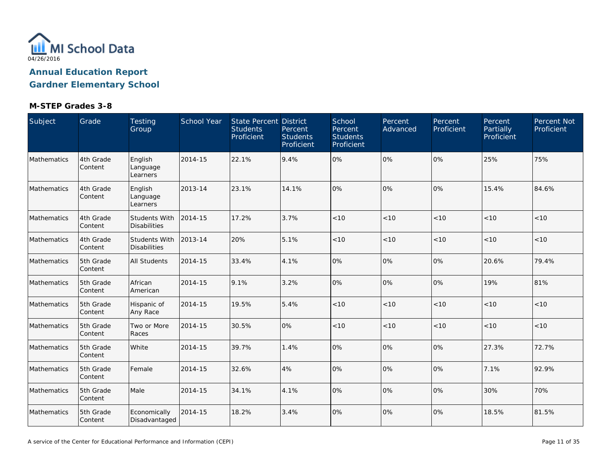

| Subject     | Grade                | Testing<br>Group                            | School Year | State Percent District<br><b>Students</b><br>Proficient | Percent<br><b>Students</b><br>Proficient | School<br>Percent<br><b>Students</b><br>Proficient | Percent<br>Advanced | Percent<br>Proficient | Percent<br>Partially<br>Proficient | Percent Not<br>Proficient |
|-------------|----------------------|---------------------------------------------|-------------|---------------------------------------------------------|------------------------------------------|----------------------------------------------------|---------------------|-----------------------|------------------------------------|---------------------------|
| Mathematics | 4th Grade<br>Content | English<br>Language<br>Learners             | 2014-15     | 22.1%                                                   | 9.4%                                     | 0%                                                 | 0%                  | 0%                    | 25%                                | 75%                       |
| Mathematics | 4th Grade<br>Content | English<br>Language<br>Learners             | 2013-14     | 23.1%                                                   | 14.1%                                    | 0%                                                 | 0%                  | 0%                    | 15.4%                              | 84.6%                     |
| Mathematics | 4th Grade<br>Content | <b>Students With</b><br><b>Disabilities</b> | 2014-15     | 17.2%                                                   | 3.7%                                     | < 10                                               | < 10                | < 10                  | < 10                               | $<10$                     |
| Mathematics | 4th Grade<br>Content | <b>Students With</b><br><b>Disabilities</b> | 2013-14     | 20%                                                     | 5.1%                                     | < 10                                               | < 10                | < 10                  | < 10                               | < 10                      |
| Mathematics | 5th Grade<br>Content | All Students                                | 2014-15     | 33.4%                                                   | 4.1%                                     | 0%                                                 | 0%                  | 0%                    | 20.6%                              | 79.4%                     |
| Mathematics | 5th Grade<br>Content | African<br>American                         | 2014-15     | 9.1%                                                    | 3.2%                                     | 0%                                                 | 0%                  | 0%                    | 19%                                | 81%                       |
| Mathematics | 5th Grade<br>Content | Hispanic of<br>Any Race                     | 2014-15     | 19.5%                                                   | 5.4%                                     | < 10                                               | < 10                | < 10                  | < 10                               | < 10                      |
| Mathematics | 5th Grade<br>Content | Two or More<br>Races                        | 2014-15     | 30.5%                                                   | 0%                                       | < 10                                               | < 10                | < 10                  | < 10                               | $<10$                     |
| Mathematics | 5th Grade<br>Content | White                                       | 2014-15     | 39.7%                                                   | 1.4%                                     | 0%                                                 | 0%                  | 0%                    | 27.3%                              | 72.7%                     |
| Mathematics | 5th Grade<br>Content | Female                                      | 2014-15     | 32.6%                                                   | 4%                                       | 0%                                                 | 0%                  | 0%                    | 7.1%                               | 92.9%                     |
| Mathematics | 5th Grade<br>Content | Male                                        | 2014-15     | 34.1%                                                   | 4.1%                                     | 0%                                                 | 0%                  | 0%                    | 30%                                | 70%                       |
| Mathematics | 5th Grade<br>Content | Economically<br>Disadvantaged               | 2014-15     | 18.2%                                                   | 3.4%                                     | 0%                                                 | 0%                  | 0%                    | 18.5%                              | 81.5%                     |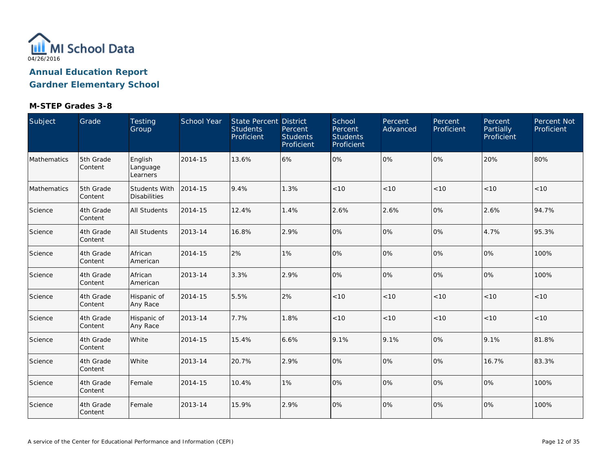

| Subject     | Grade                | Testing<br>Group                            | School Year | State Percent District<br><b>Students</b><br>Proficient | Percent<br><b>Students</b><br>Proficient | School<br>Percent<br><b>Students</b><br>Proficient | Percent<br>Advanced | Percent<br>Proficient | Percent<br>Partially<br>Proficient | Percent Not<br>Proficient |
|-------------|----------------------|---------------------------------------------|-------------|---------------------------------------------------------|------------------------------------------|----------------------------------------------------|---------------------|-----------------------|------------------------------------|---------------------------|
| Mathematics | 5th Grade<br>Content | English<br>Language<br>Learners             | 2014-15     | 13.6%                                                   | 6%                                       | 0%                                                 | 0%                  | 0%                    | 20%                                | 80%                       |
| Mathematics | 5th Grade<br>Content | <b>Students With</b><br><b>Disabilities</b> | 2014-15     | 9.4%                                                    | 1.3%                                     | < 10                                               | < 10                | < 10                  | < 10                               | < 10                      |
| Science     | 4th Grade<br>Content | All Students                                | 2014-15     | 12.4%                                                   | 1.4%                                     | 2.6%                                               | 2.6%                | 0%                    | 2.6%                               | 94.7%                     |
| Science     | 4th Grade<br>Content | All Students                                | 2013-14     | 16.8%                                                   | 2.9%                                     | 0%                                                 | 0%                  | 0%                    | 4.7%                               | 95.3%                     |
| Science     | 4th Grade<br>Content | African<br>American                         | 2014-15     | 2%                                                      | 1%                                       | 0%                                                 | 0%                  | 0%                    | 0%                                 | 100%                      |
| Science     | 4th Grade<br>Content | African<br>American                         | 2013-14     | 3.3%                                                    | 2.9%                                     | 0%                                                 | 0%                  | 0%                    | 0%                                 | 100%                      |
| Science     | 4th Grade<br>Content | Hispanic of<br>Any Race                     | 2014-15     | 5.5%                                                    | 2%                                       | < 10                                               | < 10                | < 10                  | < 10                               | < 10                      |
| Science     | 4th Grade<br>Content | Hispanic of<br>Any Race                     | 2013-14     | 7.7%                                                    | 1.8%                                     | < 10                                               | < 10                | < 10                  | < 10                               | < 10                      |
| Science     | 4th Grade<br>Content | White                                       | 2014-15     | 15.4%                                                   | 6.6%                                     | 9.1%                                               | 9.1%                | 0%                    | 9.1%                               | 81.8%                     |
| Science     | 4th Grade<br>Content | White                                       | 2013-14     | 20.7%                                                   | 2.9%                                     | 0%                                                 | 0%                  | 0%                    | 16.7%                              | 83.3%                     |
| Science     | 4th Grade<br>Content | Female                                      | 2014-15     | 10.4%                                                   | 1%                                       | 0%                                                 | 0%                  | 0%                    | 0%                                 | 100%                      |
| Science     | 4th Grade<br>Content | Female                                      | 2013-14     | 15.9%                                                   | 2.9%                                     | 0%                                                 | 0%                  | 0%                    | 0%                                 | 100%                      |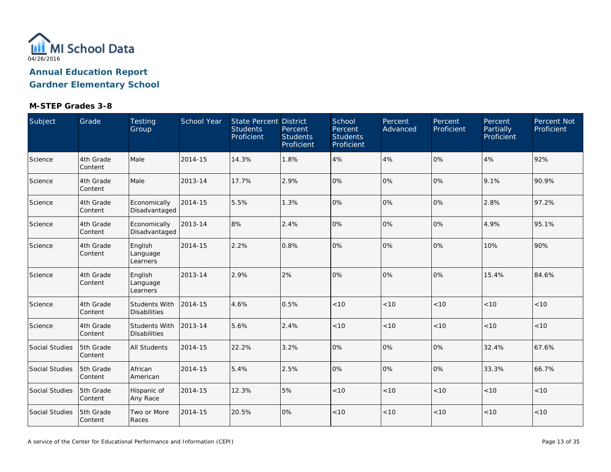

| Subject        | Grade                | Testing<br>Group                            | School Year | State Percent District<br><b>Students</b><br>Proficient | Percent<br><b>Students</b><br>Proficient | School<br>Percent<br><b>Students</b><br>Proficient | Percent<br>Advanced | Percent<br>Proficient | Percent<br>Partially<br>Proficient | Percent Not<br>Proficient |
|----------------|----------------------|---------------------------------------------|-------------|---------------------------------------------------------|------------------------------------------|----------------------------------------------------|---------------------|-----------------------|------------------------------------|---------------------------|
| Science        | 4th Grade<br>Content | Male                                        | 2014-15     | 14.3%                                                   | 1.8%                                     | 4%                                                 | 4%                  | 0%                    | 4%                                 | 92%                       |
| Science        | 4th Grade<br>Content | Male                                        | 2013-14     | 17.7%                                                   | 2.9%                                     | 0%                                                 | 0%                  | 0%                    | 9.1%                               | 90.9%                     |
| Science        | 4th Grade<br>Content | Economically<br>Disadvantaged               | 2014-15     | 5.5%                                                    | 1.3%                                     | 0%                                                 | 0%                  | 0%                    | 2.8%                               | 97.2%                     |
| Science        | 4th Grade<br>Content | Economically<br>Disadvantaged               | 2013-14     | 8%                                                      | 2.4%                                     | 0%                                                 | 0%                  | 0%                    | 4.9%                               | 95.1%                     |
| Science        | 4th Grade<br>Content | English<br>Language<br>Learners             | 2014-15     | 2.2%                                                    | 0.8%                                     | 0%                                                 | 0%                  | 0%                    | 10%                                | 90%                       |
| Science        | 4th Grade<br>Content | English<br>Language<br>Learners             | 2013-14     | 2.9%                                                    | 2%                                       | 0%                                                 | 0%                  | 0%                    | 15.4%                              | 84.6%                     |
| Science        | 4th Grade<br>Content | <b>Students With</b><br><b>Disabilities</b> | 2014-15     | 4.6%                                                    | 0.5%                                     | < 10                                               | < 10                | < 10                  | < 10                               | < 10                      |
| Science        | 4th Grade<br>Content | Students With<br><b>Disabilities</b>        | 2013-14     | 5.6%                                                    | 2.4%                                     | $<10$                                              | < 10                | < 10                  | < 10                               | $<10$                     |
| Social Studies | 5th Grade<br>Content | All Students                                | 2014-15     | 22.2%                                                   | 3.2%                                     | 0%                                                 | 0%                  | 0%                    | 32.4%                              | 67.6%                     |
| Social Studies | 5th Grade<br>Content | African<br>American                         | 2014-15     | 5.4%                                                    | 2.5%                                     | 0%                                                 | 0%                  | 0%                    | 33.3%                              | 66.7%                     |
| Social Studies | 5th Grade<br>Content | Hispanic of<br>Any Race                     | 2014-15     | 12.3%                                                   | 5%                                       | < 10                                               | < 10                | < 10                  | < 10                               | < 10                      |
| Social Studies | 5th Grade<br>Content | Two or More<br>Races                        | 2014-15     | 20.5%                                                   | 0%                                       | < 10                                               | < 10                | < 10                  | < 10                               | < 10                      |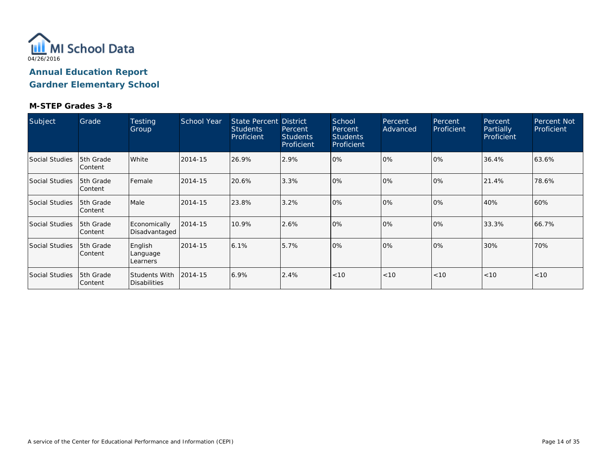

| Subject        | Grade                  | <b>Testing</b><br>Group                     | <b>School Year</b> | <b>State Percent District</b><br><b>Students</b><br>Proficient | Percent<br><b>Students</b><br>Proficient | School<br>Percent<br><b>Students</b><br>Proficient | Percent<br>Advanced | Percent<br>Proficient | Percent<br>Partially<br>Proficient | Percent Not<br>Proficient |
|----------------|------------------------|---------------------------------------------|--------------------|----------------------------------------------------------------|------------------------------------------|----------------------------------------------------|---------------------|-----------------------|------------------------------------|---------------------------|
| Social Studies | 5th Grade<br>Content   | White                                       | 2014-15            | 26.9%                                                          | 2.9%                                     | 10%                                                | $0\%$               | 10%                   | 36.4%                              | 63.6%                     |
| Social Studies | 15th Grade<br>Content  | Female                                      | 2014-15            | 20.6%                                                          | 3.3%                                     | 0%                                                 | 0%                  | 0%                    | 21.4%                              | 78.6%                     |
| Social Studies | 5th Grade<br>Content   | Male                                        | 2014-15            | 23.8%                                                          | 3.2%                                     | 0%                                                 | 0%                  | 0%                    | 40%                                | 60%                       |
| Social Studies | 5th Grade<br> Content  | Economically<br>Disadvantaged               | 2014-15            | 10.9%                                                          | 2.6%                                     | 10%                                                | 0%                  | 10%                   | 33.3%                              | 66.7%                     |
| Social Studies | 5th Grade<br>lContent  | English<br>Language<br>Learners             | 2014-15            | 6.1%                                                           | 5.7%                                     | 0%                                                 | 0%                  | 0%                    | 30%                                | 70%                       |
| Social Studies | 15th Grade<br> Content | <b>Students With</b><br><b>Disabilities</b> | 2014-15            | 6.9%                                                           | 2.4%                                     | $ $ < 10                                           | < 10                | < 10                  | < 10                               | < 10                      |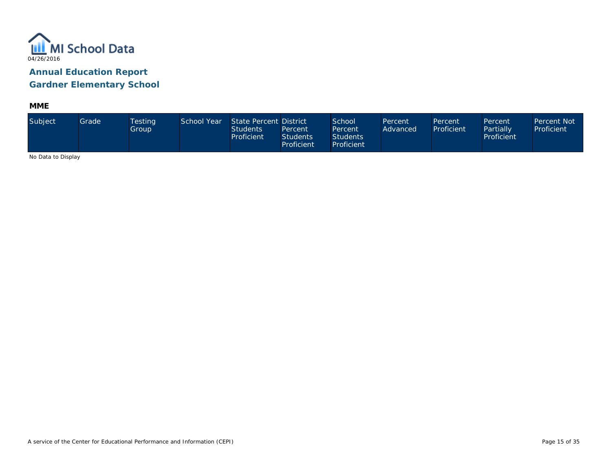

**MME**

| Subject                     | Grade | Testing<br>Group | School Year | State Percent District<br><b>Students</b><br>Proficient | Percent<br><b>Students</b><br>Proficient | School<br>Percent<br><b>Students</b><br>Proficient | Percent<br>Advanced | Percent<br>Proficient | Percent<br>Partially<br>Proficient | <b>Percent Not</b><br>Proficient |
|-----------------------------|-------|------------------|-------------|---------------------------------------------------------|------------------------------------------|----------------------------------------------------|---------------------|-----------------------|------------------------------------|----------------------------------|
| <b>ALCOHOL: U. D. L. L.</b> |       |                  |             |                                                         |                                          |                                                    |                     |                       |                                    |                                  |

No Data to Display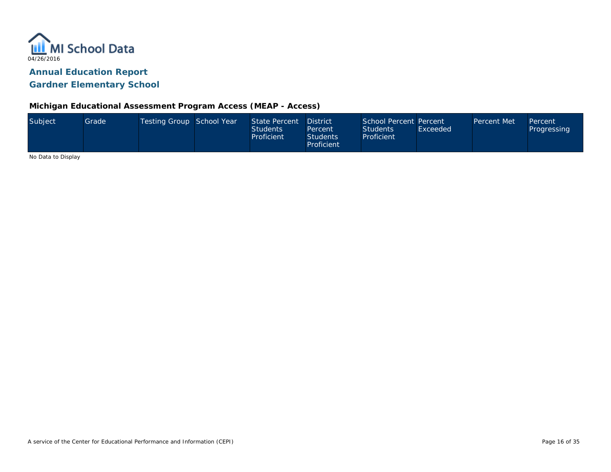

#### **Michigan Educational Assessment Program Access (MEAP - Access)**

| Subject            | Grade | Testing Group School Year | State Percent<br><b>Students</b><br>Proficient | District<br>Percent<br><b>Students</b><br>Proficient | School Percent Percent<br><b>Students</b><br>Proficient | Exceeded | Percent Met | Percent<br>Progressing |
|--------------------|-------|---------------------------|------------------------------------------------|------------------------------------------------------|---------------------------------------------------------|----------|-------------|------------------------|
| No Dota to Dianlou |       |                           |                                                |                                                      |                                                         |          |             |                        |

No Data to Display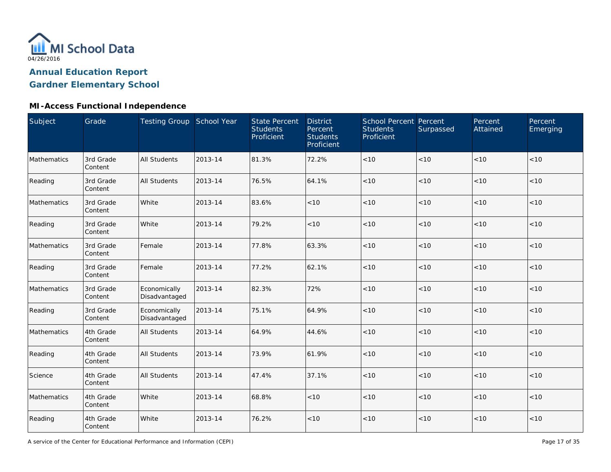

### **MI-Access Functional Independence**

| Subject     | Grade                | Testing Group School Year     |         | <b>State Percent</b><br><b>Students</b><br>Proficient | <b>District</b><br>Percent<br><b>Students</b><br>Proficient | <b>School Percent Percent</b><br><b>Students</b><br>Proficient | Surpassed | Percent<br>Attained | Percent<br>Emerging |
|-------------|----------------------|-------------------------------|---------|-------------------------------------------------------|-------------------------------------------------------------|----------------------------------------------------------------|-----------|---------------------|---------------------|
| Mathematics | 3rd Grade<br>Content | All Students                  | 2013-14 | 81.3%                                                 | 72.2%                                                       | $<10$                                                          | < 10      | < 10                | < 10                |
| Reading     | 3rd Grade<br>Content | <b>All Students</b>           | 2013-14 | 76.5%                                                 | 64.1%                                                       | < 10                                                           | < 10      | < 10                | < 10                |
| Mathematics | 3rd Grade<br>Content | White                         | 2013-14 | 83.6%                                                 | < 10                                                        | < 10                                                           | < 10      | < 10                | < 10                |
| Reading     | 3rd Grade<br>Content | White                         | 2013-14 | 79.2%                                                 | < 10                                                        | < 10                                                           | < 10      | < 10                | < 10                |
| Mathematics | 3rd Grade<br>Content | Female                        | 2013-14 | 77.8%                                                 | 63.3%                                                       | < 10                                                           | < 10      | < 10                | < 10                |
| Reading     | 3rd Grade<br>Content | Female                        | 2013-14 | 77.2%                                                 | 62.1%                                                       | < 10                                                           | < 10      | < 10                | < 10                |
| Mathematics | 3rd Grade<br>Content | Economically<br>Disadvantaged | 2013-14 | 82.3%                                                 | 72%                                                         | $<10$                                                          | < 10      | < 10                | < 10                |
| Reading     | 3rd Grade<br>Content | Economically<br>Disadvantaged | 2013-14 | 75.1%                                                 | 64.9%                                                       | $<10$                                                          | < 10      | < 10                | < 10                |
| Mathematics | 4th Grade<br>Content | <b>All Students</b>           | 2013-14 | 64.9%                                                 | 44.6%                                                       | $<10$                                                          | < 10      | < 10                | < 10                |
| Reading     | 4th Grade<br>Content | <b>All Students</b>           | 2013-14 | 73.9%                                                 | 61.9%                                                       | $<10$                                                          | < 10      | < 10                | < 10                |
| Science     | 4th Grade<br>Content | <b>All Students</b>           | 2013-14 | 47.4%                                                 | 37.1%                                                       | $<10$                                                          | $<10$     | < 10                | $<10$               |
| Mathematics | 4th Grade<br>Content | White                         | 2013-14 | 68.8%                                                 | $<10$                                                       | $<10$                                                          | <10       | < 10                | < 10                |
| Reading     | 4th Grade<br>Content | White                         | 2013-14 | 76.2%                                                 | $<10$                                                       | $<10$                                                          | <10       | < 10                | < 10                |

A service of the Center for Educational Performance and Information (CEPI)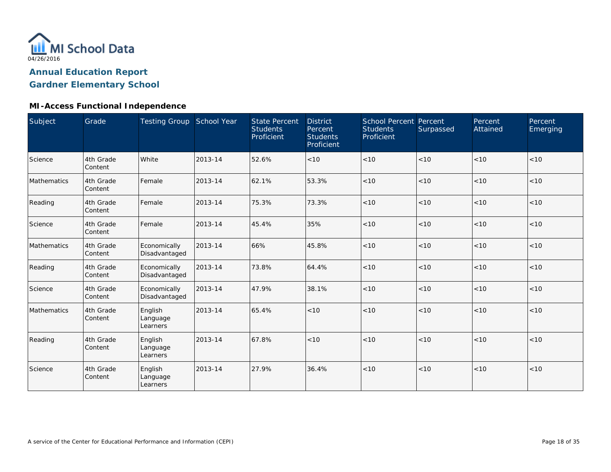

# **MI-Access Functional Independence**

| Subject     | Grade                | Testing Group School Year       |         | <b>State Percent</b><br><b>Students</b><br>Proficient | <b>District</b><br>Percent<br><b>Students</b><br>Proficient | School Percent Percent<br><b>Students</b><br>Proficient | Surpassed | Percent<br>Attained | Percent<br>Emerging |
|-------------|----------------------|---------------------------------|---------|-------------------------------------------------------|-------------------------------------------------------------|---------------------------------------------------------|-----------|---------------------|---------------------|
| Science     | 4th Grade<br>Content | White                           | 2013-14 | 52.6%                                                 | < 10                                                        | < 10                                                    | < 10      | < 10                | < 10                |
| Mathematics | 4th Grade<br>Content | Female                          | 2013-14 | 62.1%                                                 | 53.3%                                                       | < 10                                                    | < 10      | < 10                | < 10                |
| Reading     | 4th Grade<br>Content | Female                          | 2013-14 | 75.3%                                                 | 73.3%                                                       | < 10                                                    | < 10      | < 10                | < 10                |
| Science     | 4th Grade<br>Content | Female                          | 2013-14 | 45.4%                                                 | 35%                                                         | < 10                                                    | < 10      | < 10                | < 10                |
| Mathematics | 4th Grade<br>Content | Economically<br>Disadvantaged   | 2013-14 | 66%                                                   | 45.8%                                                       | < 10                                                    | < 10      | < 10                | < 10                |
| Reading     | 4th Grade<br>Content | Economically<br>Disadvantaged   | 2013-14 | 73.8%                                                 | 64.4%                                                       | < 10                                                    | < 10      | < 10                | < 10                |
| Science     | 4th Grade<br>Content | Economically<br>Disadvantaged   | 2013-14 | 47.9%                                                 | 38.1%                                                       | < 10                                                    | < 10      | < 10                | < 10                |
| Mathematics | 4th Grade<br>Content | English<br>Language<br>Learners | 2013-14 | 65.4%                                                 | < 10                                                        | < 10                                                    | < 10      | < 10                | < 10                |
| Reading     | 4th Grade<br>Content | English<br>Language<br>Learners | 2013-14 | 67.8%                                                 | < 10                                                        | < 10                                                    | < 10      | < 10                | < 10                |
| Science     | 4th Grade<br>Content | English<br>Language<br>Learners | 2013-14 | 27.9%                                                 | 36.4%                                                       | < 10                                                    | < 10      | < 10                | < 10                |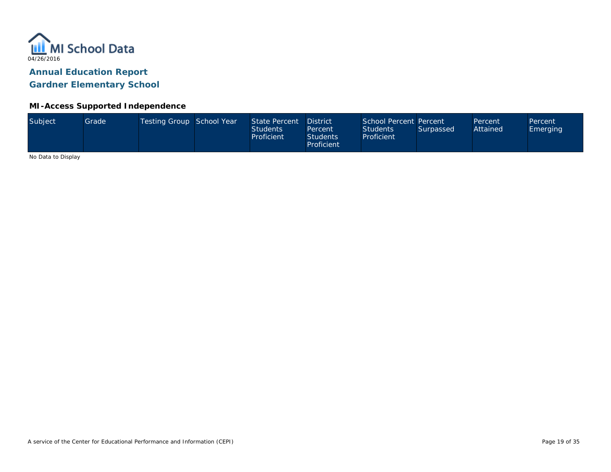

#### **MI-Access Supported Independence**

No Data to Display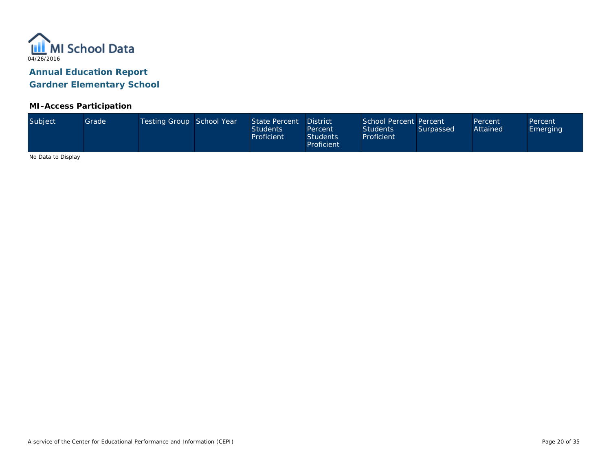

#### **MI-Access Participation**

| Subject<br>Testing Group School Year<br>State Percent<br>School Percent Percent<br>Grade <sup>1</sup><br><b>District</b><br>Percent<br>Attained<br>Students<br><b>Students</b><br>Surpassed<br>Percent<br>Proficient<br>Proficient<br><b>Students</b><br>Proficient |  |  |  |  |  |  |  |  |  | Percent<br><b>Emerging</b> |
|---------------------------------------------------------------------------------------------------------------------------------------------------------------------------------------------------------------------------------------------------------------------|--|--|--|--|--|--|--|--|--|----------------------------|
|---------------------------------------------------------------------------------------------------------------------------------------------------------------------------------------------------------------------------------------------------------------------|--|--|--|--|--|--|--|--|--|----------------------------|

No Data to Display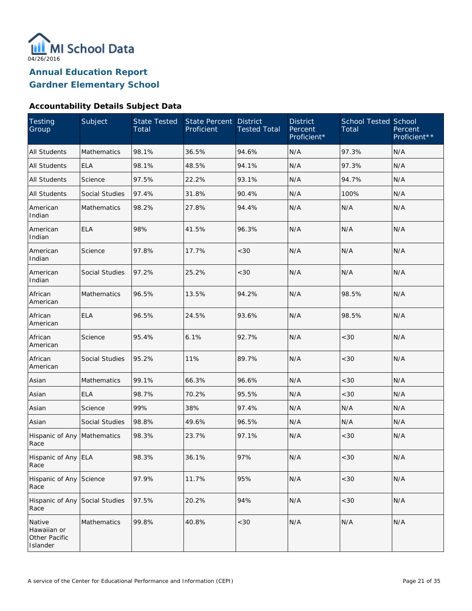

#### **Accountability Details Subject Data**

| <b>Testing</b><br>Group                            | Subject               | <b>State Tested</b><br>Total | State Percent<br>Proficient | <b>District</b><br><b>Tested Total</b> | <b>District</b><br>Percent<br>Proficient* | <b>School Tested School</b><br>Total | Percent<br>Proficient** |
|----------------------------------------------------|-----------------------|------------------------------|-----------------------------|----------------------------------------|-------------------------------------------|--------------------------------------|-------------------------|
| <b>All Students</b>                                | Mathematics           | 98.1%                        | 36.5%                       | 94.6%                                  | N/A                                       | 97.3%                                | N/A                     |
| <b>All Students</b>                                | <b>ELA</b>            | 98.1%                        | 48.5%                       | 94.1%                                  | N/A                                       | 97.3%                                | N/A                     |
| <b>All Students</b>                                | Science               | 97.5%                        | 22.2%                       | 93.1%                                  | N/A                                       | 94.7%                                | N/A                     |
| <b>All Students</b>                                | <b>Social Studies</b> | 97.4%                        | 31.8%                       | 90.4%                                  | N/A                                       | 100%                                 | N/A                     |
| American<br>Indian                                 | Mathematics           | 98.2%                        | 27.8%                       | 94.4%                                  | N/A                                       | N/A                                  | N/A                     |
| American<br>Indian                                 | <b>ELA</b>            | 98%                          | 41.5%                       | 96.3%                                  | N/A                                       | N/A                                  | N/A                     |
| American<br>Indian                                 | Science               | 97.8%                        | 17.7%                       | <30                                    | N/A                                       | N/A                                  | N/A                     |
| American<br>Indian                                 | <b>Social Studies</b> | 97.2%                        | 25.2%                       | <30                                    | N/A                                       | N/A                                  | N/A                     |
| African<br>American                                | <b>Mathematics</b>    | 96.5%                        | 13.5%                       | 94.2%                                  | N/A                                       | 98.5%                                | N/A                     |
| African<br>American                                | <b>ELA</b>            | 96.5%                        | 24.5%                       | 93.6%                                  | N/A                                       | 98.5%                                | N/A                     |
| African<br>American                                | Science               | 95.4%                        | 6.1%                        | 92.7%                                  | N/A                                       | <30                                  | N/A                     |
| African<br>American                                | Social Studies        | 95.2%                        | 11%                         | 89.7%                                  | N/A                                       | <30                                  | N/A                     |
| Asian                                              | <b>Mathematics</b>    | 99.1%                        | 66.3%                       | 96.6%                                  | N/A                                       | <30                                  | N/A                     |
| Asian                                              | <b>ELA</b>            | 98.7%                        | 70.2%                       | 95.5%                                  | N/A                                       | <30                                  | N/A                     |
| Asian                                              | Science               | 99%                          | 38%                         | 97.4%                                  | N/A                                       | N/A                                  | N/A                     |
| Asian                                              | <b>Social Studies</b> | 98.8%                        | 49.6%                       | 96.5%                                  | N/A                                       | N/A                                  | N/A                     |
| Hispanic of Any<br>Race                            | Mathematics           | 98.3%                        | 23.7%                       | 97.1%                                  | N/A                                       | <30                                  | N/A                     |
| Hispanic of Any ELA<br>Race                        |                       | 98.3%                        | 36.1%                       | 97%                                    | N/A                                       | <30                                  | N/A                     |
| Hispanic of Any<br>Race                            | Science               | 97.9%                        | 11.7%                       | 95%                                    | N/A                                       | <30                                  | N/A                     |
| Hispanic of Any<br>Race                            | Social Studies        | 97.5%                        | 20.2%                       | 94%                                    | N/A                                       | $<30$                                | N/A                     |
| Native<br>Hawaiian or<br>Other Pacific<br>Islander | Mathematics           | 99.8%                        | 40.8%                       | <30                                    | N/A                                       | N/A                                  | N/A                     |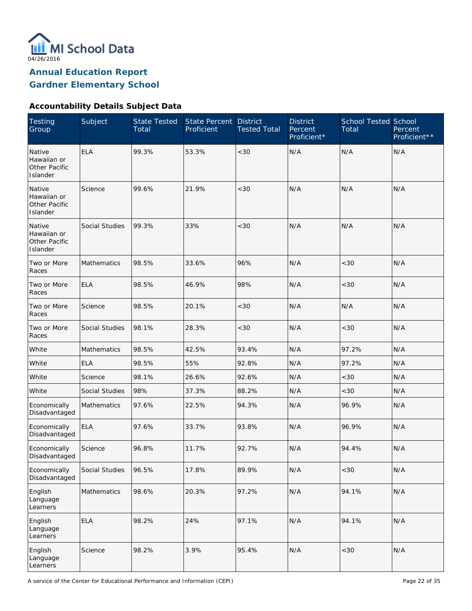

**Annual Education Report**

**Gardner Elementary School**

### **Accountability Details Subject Data**

| <b>Testing</b><br>Group                            | Subject            | <b>State Tested</b><br>Total | State Percent<br>Proficient | <b>District</b><br><b>Tested Total</b> | <b>District</b><br>Percent<br>Proficient* | <b>School Tested School</b><br>Total | Percent<br>Proficient** |
|----------------------------------------------------|--------------------|------------------------------|-----------------------------|----------------------------------------|-------------------------------------------|--------------------------------------|-------------------------|
| Native<br>Hawaiian or<br>Other Pacific<br>Islander | <b>ELA</b>         | 99.3%                        | 53.3%                       | < 30                                   | N/A                                       | N/A                                  | N/A                     |
| Native<br>Hawaiian or<br>Other Pacific<br>Islander | Science            | 99.6%                        | 21.9%                       | < 30                                   | N/A                                       | N/A                                  | N/A                     |
| Native<br>Hawaiian or<br>Other Pacific<br>Islander | Social Studies     | 99.3%                        | 33%                         | < 30                                   | N/A                                       | N/A                                  | N/A                     |
| Two or More<br>Races                               | Mathematics        | 98.5%                        | 33.6%                       | 96%                                    | N/A                                       | <30                                  | N/A                     |
| Two or More<br>Races                               | <b>ELA</b>         | 98.5%                        | 46.9%                       | 98%                                    | N/A                                       | < 30                                 | N/A                     |
| Two or More<br>Races                               | Science            | 98.5%                        | 20.1%                       | $<30$                                  | N/A                                       | N/A                                  | N/A                     |
| Two or More<br>Races                               | Social Studies     | 98.1%                        | 28.3%                       | $<30$                                  | N/A                                       | <30                                  | N/A                     |
| White                                              | <b>Mathematics</b> | 98.5%                        | 42.5%                       | 93.4%                                  | N/A                                       | 97.2%                                | N/A                     |
| White                                              | <b>ELA</b>         | 98.5%                        | 55%                         | 92.8%                                  | N/A                                       | 97.2%                                | N/A                     |
| White                                              | Science            | 98.1%                        | 26.6%                       | 92.6%                                  | N/A                                       | <30                                  | N/A                     |
| White                                              | Social Studies     | 98%                          | 37.3%                       | 88.2%                                  | N/A                                       | < 30                                 | N/A                     |
| Economically<br>Disadvantaged                      | <b>Mathematics</b> | 97.6%                        | 22.5%                       | 94.3%                                  | N/A                                       | 96.9%                                | N/A                     |
| Economically<br>Disadvantaged                      | <b>ELA</b>         | 97.6%                        | 33.7%                       | 93.8%                                  | N/A                                       | 96.9%                                | N/A                     |
| Economically<br>Disadvantaged                      | Science            | 96.8%                        | 11.7%                       | 92.7%                                  | N/A                                       | 94.4%                                | N/A                     |
| Economically<br>Disadvantaged                      | Social Studies     | 96.5%                        | 17.8%                       | 89.9%                                  | N/A                                       | <30                                  | N/A                     |
| English<br>Language<br>Learners                    | Mathematics        | 98.6%                        | 20.3%                       | 97.2%                                  | N/A                                       | 94.1%                                | N/A                     |
| English<br>Language<br>Learners                    | <b>ELA</b>         | 98.2%                        | 24%                         | 97.1%                                  | N/A                                       | 94.1%                                | N/A                     |
| English<br>Language<br>Learners                    | Science            | 98.2%                        | 3.9%                        | 95.4%                                  | N/A                                       | $<30$                                | N/A                     |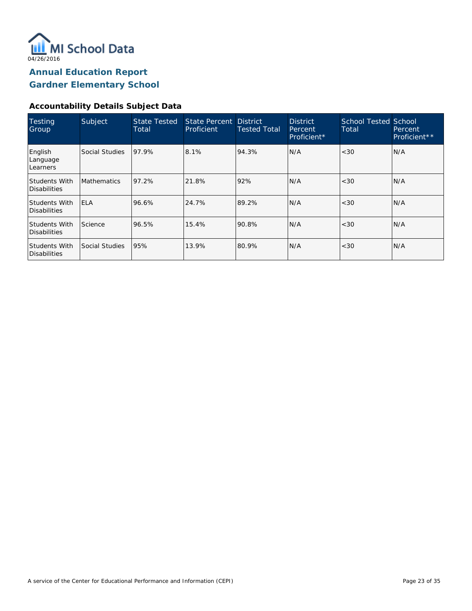

### **Accountability Details Subject Data**

| <b>Testing</b><br>Group              | Subject            | <b>State Tested</b><br>Total | State Percent District<br>Proficient | <b>Tested Total</b> | <b>District</b><br>Percent<br>Proficient* | School Tested School<br>Total | Percent<br>Proficient** |
|--------------------------------------|--------------------|------------------------------|--------------------------------------|---------------------|-------------------------------------------|-------------------------------|-------------------------|
| English<br>Language<br>Learners      | Social Studies     | 97.9%                        | 8.1%                                 | 94.3%               | N/A                                       | <30                           | N/A                     |
| Students With<br>Disabilities        | <b>Mathematics</b> | 97.2%                        | 21.8%                                | 92%                 | N/A                                       | <30                           | N/A                     |
| Students With<br>Disabilities        | <b>ELA</b>         | 96.6%                        | 24.7%                                | 89.2%               | N/A                                       | <30                           | IN/A                    |
| <b>Students With</b><br>Disabilities | Science            | 96.5%                        | 15.4%                                | 90.8%               | N/A                                       | <30                           | IN/A                    |
| <b>Students With</b><br>Disabilities | Social Studies     | 95%                          | 13.9%                                | 80.9%               | N/A                                       | <30                           | IN/A                    |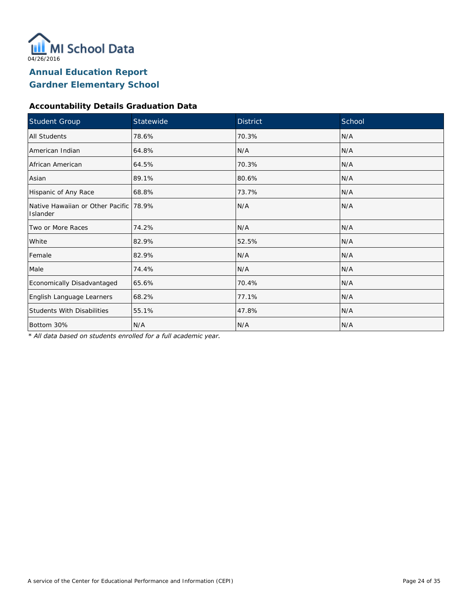

### **Accountability Details Graduation Data**

| Student Group                                        | Statewide | <b>District</b> | School |
|------------------------------------------------------|-----------|-----------------|--------|
| All Students                                         | 78.6%     | 70.3%           | N/A    |
| American Indian                                      | 64.8%     | N/A             | N/A    |
| African American                                     | 64.5%     | 70.3%           | N/A    |
| Asian                                                | 89.1%     | 80.6%           | N/A    |
| Hispanic of Any Race                                 | 68.8%     | 73.7%           | N/A    |
| Native Hawaiian or Other Pacific   78.9%<br>Islander |           | N/A             | N/A    |
| Two or More Races                                    | 74.2%     | N/A             | N/A    |
| White                                                | 82.9%     | 52.5%           | N/A    |
| Female                                               | 82.9%     | N/A             | N/A    |
| Male                                                 | 74.4%     | N/A             | N/A    |
| Economically Disadvantaged                           | 65.6%     | 70.4%           | N/A    |
| English Language Learners                            | 68.2%     | 77.1%           | N/A    |
| <b>Students With Disabilities</b>                    | 55.1%     | 47.8%           | N/A    |
| Bottom 30%                                           | N/A       | N/A             | N/A    |

*\* All data based on students enrolled for a full academic year.*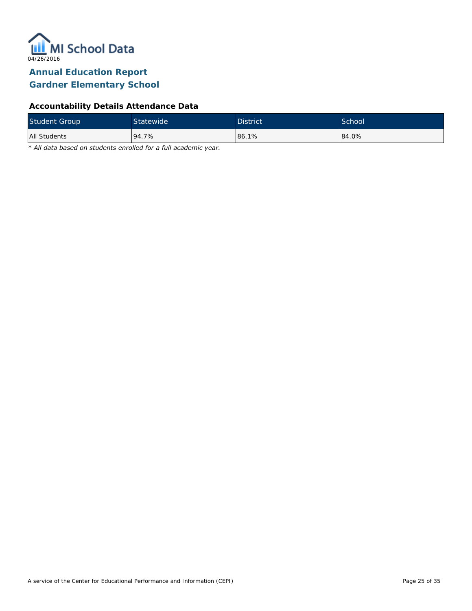

### **Accountability Details Attendance Data**

| <b>Student Group</b> | Statewide <sup>1</sup> | <b>District</b> | School <sup>'</sup> |
|----------------------|------------------------|-----------------|---------------------|
| All Students         | 94.7%                  | 86.1%           | 84.0%               |

*\* All data based on students enrolled for a full academic year.*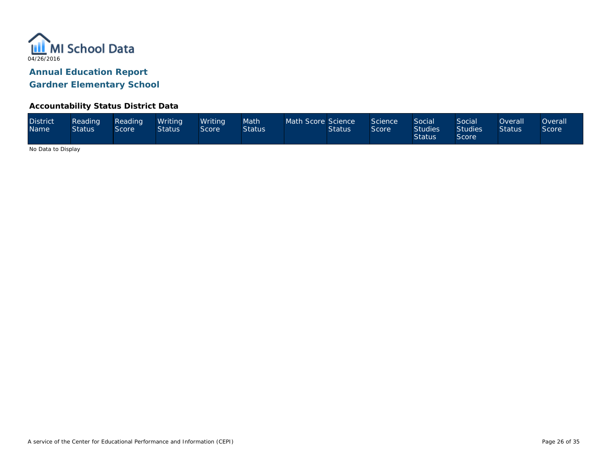

#### **Accountability Status District Data**

| <b>District</b><br><b>Name</b> | Reading<br><b>Status</b> | Reading<br>Score | Writing<br><b>Status</b> | Writina<br>Score | Math<br><b>Status</b> | Math Score Science | <b>Status</b> | Science<br>Score | <b>Social</b><br><b>Studies</b><br><b>Status</b> | Social<br><b>Studies</b><br><b>Score</b> | <b>Overall</b><br><b>Status</b> | Overall<br><b>Score</b> |
|--------------------------------|--------------------------|------------------|--------------------------|------------------|-----------------------|--------------------|---------------|------------------|--------------------------------------------------|------------------------------------------|---------------------------------|-------------------------|
|--------------------------------|--------------------------|------------------|--------------------------|------------------|-----------------------|--------------------|---------------|------------------|--------------------------------------------------|------------------------------------------|---------------------------------|-------------------------|

No Data to Display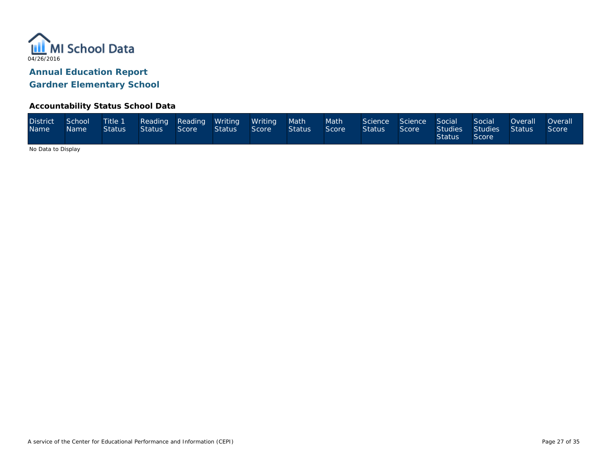

#### **Accountability Status School Data**

| <b>District</b><br>Name <sup>1</sup> | School<br><b>Name</b> | Title 1<br><b>Status</b> | Status \ | Score | Reading Reading Writing Writing<br>Status | Score | Math <sup>1</sup><br>Status | Math<br>Score | Science Science Social<br><b>Status</b> | Score | Studies<br><b>Status</b> | Social<br>Studies<br>Score | Overall<br>- Status I | <b>Overall</b><br><b>Score</b> |
|--------------------------------------|-----------------------|--------------------------|----------|-------|-------------------------------------------|-------|-----------------------------|---------------|-----------------------------------------|-------|--------------------------|----------------------------|-----------------------|--------------------------------|
|--------------------------------------|-----------------------|--------------------------|----------|-------|-------------------------------------------|-------|-----------------------------|---------------|-----------------------------------------|-------|--------------------------|----------------------------|-----------------------|--------------------------------|

No Data to Display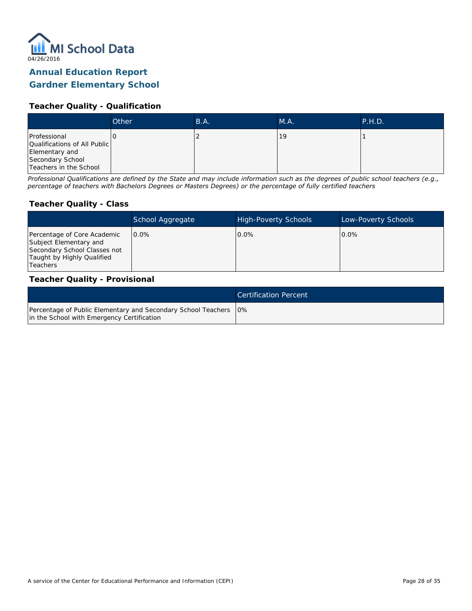

### **Annual Education Report**

### **Gardner Elementary School**

#### **Teacher Quality - Qualification**

|                                                                                                              | Other | B.A. | MA. | <b>P.H.D.</b> |
|--------------------------------------------------------------------------------------------------------------|-------|------|-----|---------------|
| Professional<br>Qualifications of All Public<br>Elementary and<br>Secondary School<br>Teachers in the School |       |      | 19  |               |

*Professional Qualifications are defined by the State and may include information such as the degrees of public school teachers (e.g., percentage of teachers with Bachelors Degrees or Masters Degrees) or the percentage of fully certified teachers*

#### **Teacher Quality - Class**

|                                                                                                                                   | School Aggregate | <b>High-Poverty Schools</b> | Low-Poverty Schools |
|-----------------------------------------------------------------------------------------------------------------------------------|------------------|-----------------------------|---------------------|
| Percentage of Core Academic<br>Subject Elementary and<br>Secondary School Classes not<br>Taught by Highly Qualified<br>l Teachers | $0.0\%$          | $0.0\%$                     | $0.0\%$             |

#### **Teacher Quality - Provisional**

|                                                                                                                  | <b>Certification Percent</b> |
|------------------------------------------------------------------------------------------------------------------|------------------------------|
| Percentage of Public Elementary and Secondary School Teachers   0%<br>in the School with Emergency Certification |                              |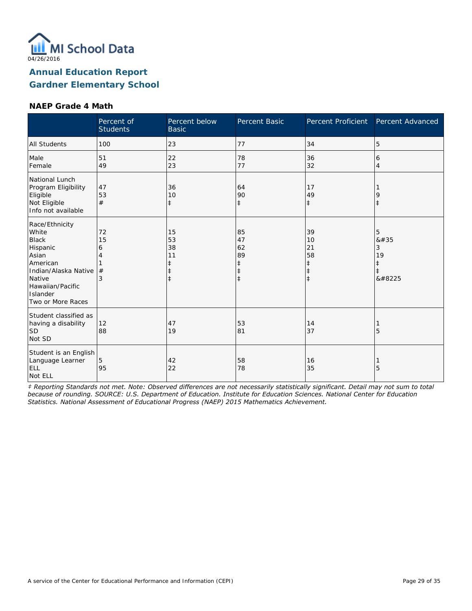

#### **NAEP Grade 4 Math**

|                                                                                                                                                                 | Percent of<br><b>Students</b> | Percent below<br><b>Basic</b>                    | Percent Basic                                         | Percent Proficient                                             | Percent Advanced               |
|-----------------------------------------------------------------------------------------------------------------------------------------------------------------|-------------------------------|--------------------------------------------------|-------------------------------------------------------|----------------------------------------------------------------|--------------------------------|
| <b>All Students</b>                                                                                                                                             | 100                           | 23                                               | 77                                                    | 34                                                             | 5                              |
| Male<br>Female                                                                                                                                                  | 51<br>49                      | 22<br>23                                         | 78<br>77                                              | 36<br>32                                                       | 6<br>$\overline{4}$            |
| National Lunch<br>Program Eligibility<br>Eligible<br>Not Eligible<br>Info not available                                                                         | 47<br>53<br>#                 | 36<br>10<br>$\ddagger$                           | 64<br>90<br>$\ddagger$                                | 17<br>49<br>$\ddagger$                                         | 9<br>$\ddagger$                |
| Race/Ethnicity<br>White<br><b>Black</b><br>Hispanic<br>Asian<br>American<br>Indian/Alaska Native<br>Native<br>Hawaiian/Pacific<br>Islander<br>Two or More Races | 72<br>15<br>6<br>4<br>#<br>3  | 15<br>53<br>38<br>11<br>$\ddagger$<br>$\ddagger$ | 85<br>47<br>62<br>89<br>$\ddagger$<br>ŧ<br>$\ddagger$ | 39<br>10<br>21<br>58<br>$\ddagger$<br>$\ddagger$<br>$\ddagger$ | 5<br>8#35<br>3<br>19<br>‡<br>‡ |
| Student classified as<br>having a disability<br><b>SD</b><br>Not SD                                                                                             | 12<br>88                      | 47<br>19                                         | 53<br>81                                              | 14<br>37                                                       | 5                              |
| Student is an English<br>Language Learner<br><b>ELL</b><br>Not ELL                                                                                              | 5<br>95                       | 42<br>22                                         | 58<br>78                                              | 16<br>35                                                       | 5                              |

*‡ Reporting Standards not met. Note: Observed differences are not necessarily statistically significant. Detail may not sum to total because of rounding. SOURCE: U.S. Department of Education. Institute for Education Sciences. National Center for Education Statistics. National Assessment of Educational Progress (NAEP) 2015 Mathematics Achievement.*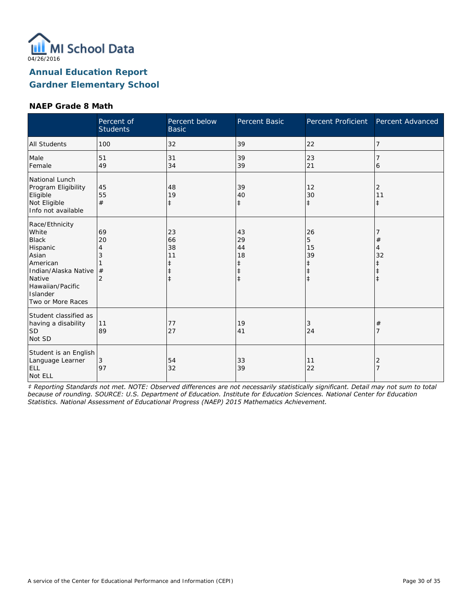

#### **NAEP Grade 8 Math**

|                                                                                                                                                                 | Percent of<br><b>Students</b>             | Percent below<br><b>Basic</b>                    | Percent Basic                                | Percent Proficient                     | Percent Advanced      |
|-----------------------------------------------------------------------------------------------------------------------------------------------------------------|-------------------------------------------|--------------------------------------------------|----------------------------------------------|----------------------------------------|-----------------------|
| <b>All Students</b>                                                                                                                                             | 100                                       | 32                                               | 39                                           | 22                                     | 7                     |
| Male<br>Female                                                                                                                                                  | 51<br>49                                  | 31<br>34                                         | 39<br>39                                     | 23<br>21                               | 6                     |
| National Lunch<br>Program Eligibility<br>Eligible<br>Not Eligible<br>Info not available                                                                         | 45<br>55<br>#                             | 48<br>19<br>$\ddagger$                           | 39<br>40<br>$\ddagger$                       | 12<br>30<br>$\ddagger$                 | 2<br>11<br>$\ddagger$ |
| Race/Ethnicity<br>White<br><b>Black</b><br>Hispanic<br>Asian<br>American<br>Indian/Alaska Native<br>Native<br>Hawaiian/Pacific<br>Islander<br>Two or More Races | 69<br>20<br>4<br>3<br>#<br>$\overline{2}$ | 23<br>66<br>38<br>11<br>ŧ<br>$\ddagger$<br>$\pm$ | 43<br>29<br>44<br>18<br>ŧ<br>ŧ<br>$\ddagger$ | 26<br>5<br>15<br>39<br>ŧ<br>$\ddagger$ | #<br>4<br>32          |
| Student classified as<br>having a disability<br>SD <sup>1</sup><br>Not SD                                                                                       | 11<br>89                                  | 77<br>27                                         | 19<br>41                                     | 3<br>24                                | #                     |
| Student is an English<br>Language Learner<br><b>ELL</b><br>Not ELL                                                                                              | 3<br>97                                   | 54<br>32                                         | 33<br>39                                     | 11<br>22                               | 2                     |

*‡ Reporting Standards not met. NOTE: Observed differences are not necessarily statistically significant. Detail may not sum to total because of rounding. SOURCE: U.S. Department of Education. Institute for Education Sciences. National Center for Education Statistics. National Assessment of Educational Progress (NAEP) 2015 Mathematics Achievement.*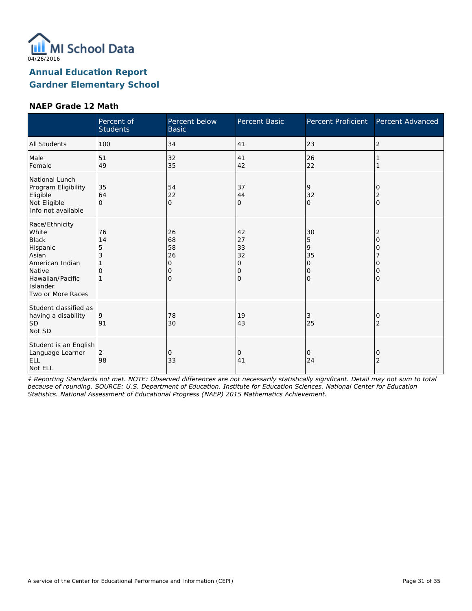

#### **NAEP Grade 12 Math**

|                                                                                                                                                | Percent of<br><b>Students</b> | Percent below<br><b>Basic</b>       | Percent Basic                       | Percent Proficient                             | Percent Advanced           |
|------------------------------------------------------------------------------------------------------------------------------------------------|-------------------------------|-------------------------------------|-------------------------------------|------------------------------------------------|----------------------------|
| <b>All Students</b>                                                                                                                            | 100                           | 34                                  | 41                                  | 23                                             | 2                          |
| Male<br>Female                                                                                                                                 | 51<br>49                      | 32<br>35                            | 41<br>42                            | 26<br>22                                       |                            |
| National Lunch<br>Program Eligibility<br>Eligible<br>Not Eligible<br>Info not available                                                        | 35<br>64<br>$\Omega$          | 54<br>22<br>$\overline{O}$          | 37<br>44<br>0                       | 9<br>32<br>$\Omega$                            | 0<br>2<br>$\mathbf{O}$     |
| Race/Ethnicity<br>White<br><b>Black</b><br>Hispanic<br>Asian<br>American Indian<br>Native<br>Hawaiian/Pacific<br>Islander<br>Two or More Races | 76<br>14<br>5<br>3<br>Ω       | 26<br>68<br>58<br>26<br>O<br>Ω<br>Ω | 42<br>27<br>33<br>32<br>0<br>0<br>O | 30<br>5<br>9<br>35<br>0<br>$\circ$<br>$\Omega$ | 2<br>O<br>Ω<br>Ω<br>O<br>0 |
| Student classified as<br>having a disability<br> SD<br>Not SD                                                                                  | 9<br>91                       | 78<br>30                            | 19<br>43                            | 3<br>25                                        | 0<br>$\overline{2}$        |
| Student is an English<br>Language Learner<br><b>ELL</b><br>Not ELL                                                                             | $\overline{2}$<br>98          | 0<br>33                             | 0<br>41                             | 0<br>24                                        | 0<br>$\overline{2}$        |

*‡ Reporting Standards not met. NOTE: Observed differences are not necessarily statistically significant. Detail may not sum to total because of rounding. SOURCE: U.S. Department of Education. Institute for Education Sciences. National Center for Education Statistics. National Assessment of Educational Progress (NAEP) 2015 Mathematics Achievement.*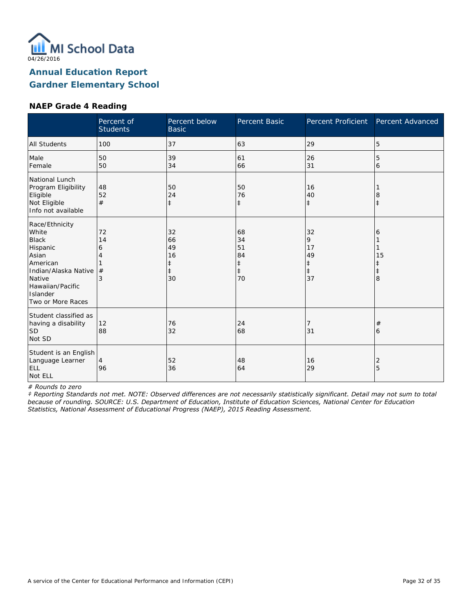

#### **NAEP Grade 4 Reading**

|                                                                                                                                                                        | Percent of<br><b>Students</b> | Percent below<br><b>Basic</b>                          | Percent Basic                                          | Percent Proficient                           | Percent Advanced           |
|------------------------------------------------------------------------------------------------------------------------------------------------------------------------|-------------------------------|--------------------------------------------------------|--------------------------------------------------------|----------------------------------------------|----------------------------|
| All Students                                                                                                                                                           | 100                           | 37                                                     | 63                                                     | 29                                           | 5                          |
| Male<br>Female                                                                                                                                                         | 50<br>50                      | 39<br>34                                               | 61<br>66                                               | 26<br>31                                     | 5<br>6                     |
| National Lunch<br>Program Eligibility<br>Eligible<br>Not Eligible<br>Info not available                                                                                | 48<br>52<br>#                 | 50<br>24<br>$\ddagger$                                 | 50<br>76<br>$\ddagger$                                 | 16<br>40<br>$\ddagger$                       | 8<br>$\ddagger$            |
| Race/Ethnicity<br>White<br><b>Black</b><br>Hispanic<br>Asian<br>American<br>Indian/Alaska Native<br>Native<br>Hawaiian/Pacific<br><b>Islander</b><br>Two or More Races | 72<br>14<br>6<br>#<br>3       | 32<br>66<br>49<br>16<br>$\ddagger$<br>$\ddagger$<br>30 | 68<br>34<br>51<br>84<br>$\ddagger$<br>$\ddagger$<br>70 | 32<br>9<br>17<br>49<br>‡<br>$\ddagger$<br>37 | 6<br>15<br>$\ddagger$<br>8 |
| Student classified as<br>having a disability<br><b>SD</b><br>Not SD                                                                                                    | 12<br>88                      | 76<br>32                                               | 24<br>68                                               | 7<br>31                                      | #<br>6                     |
| Student is an English<br>Language Learner<br>ELL<br>Not ELL                                                                                                            | $\overline{4}$<br>96          | 52<br>36                                               | 48<br>64                                               | 16<br>29                                     | 2<br>5                     |

*# Rounds to zero*

*‡ Reporting Standards not met. NOTE: Observed differences are not necessarily statistically significant. Detail may not sum to total because of rounding. SOURCE: U.S. Department of Education, Institute of Education Sciences, National Center for Education Statistics, National Assessment of Educational Progress (NAEP), 2015 Reading Assessment.*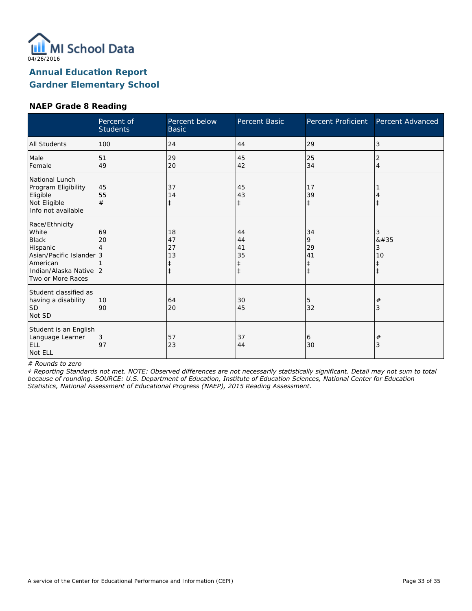

### **NAEP Grade 8 Reading**

|                                                                                                                                            | Percent of<br><b>Students</b> | Percent below<br><b>Basic</b>    | Percent Basic                      | Percent Proficient                              | Percent Advanced                        |
|--------------------------------------------------------------------------------------------------------------------------------------------|-------------------------------|----------------------------------|------------------------------------|-------------------------------------------------|-----------------------------------------|
| All Students                                                                                                                               | 100                           | 24                               | 44                                 | 29                                              | 3                                       |
| Male<br>Female                                                                                                                             | 51<br>49                      | 29<br>20                         | 45<br>42                           | 25<br>34                                        | 2<br>$\overline{4}$                     |
| National Lunch<br>Program Eligibility<br>Eligible<br>Not Eligible<br>Info not available                                                    | 45<br>55<br>#                 | 37<br>14<br>$\ddagger$           | 45<br>43<br>$\ddagger$             | 17<br>39<br>$\ddagger$                          | $\ddagger$                              |
| Race/Ethnicity<br>White<br><b>Black</b><br>Hispanic<br>Asian/Pacific Islander 3<br>American<br>Indian/Alaska Native 2<br>Two or More Races | 69<br>20                      | 18<br>47<br>27<br>13<br>$^\ddag$ | 44<br>44<br>41<br>35<br>$\ddagger$ | 34<br>9<br>29<br>41<br>$\ddagger$<br>$\ddagger$ | 3<br>8#35<br>3<br>10<br>ŧ<br>$\ddagger$ |
| Student classified as<br>having a disability<br><b>SD</b><br>Not SD                                                                        | 10<br>90                      | 64<br>20                         | 30<br>45                           | 5<br>32                                         | $\#$<br>3                               |
| Student is an English<br>Language Learner<br><b>ELL</b><br>Not ELL                                                                         | 3<br>97                       | 57<br>23                         | 37<br>44                           | 6<br>30                                         | $\#$<br>3                               |

*# Rounds to zero*

*‡ Reporting Standards not met. NOTE: Observed differences are not necessarily statistically significant. Detail may not sum to total because of rounding. SOURCE: U.S. Department of Education, Institute of Education Sciences, National Center for Education Statistics, National Assessment of Educational Progress (NAEP), 2015 Reading Assessment.*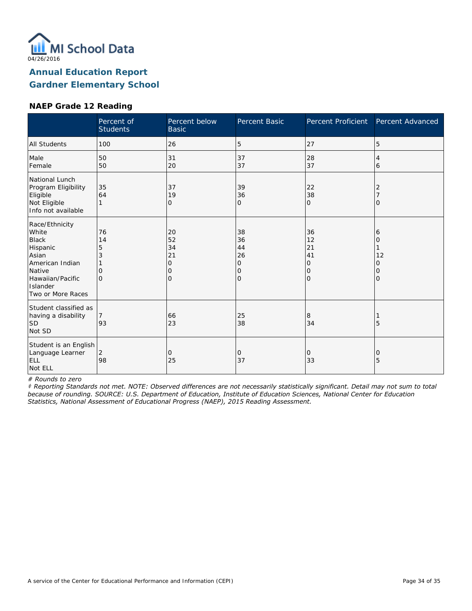

#### **NAEP Grade 12 Reading**

|                                                                                                                                                | Percent of<br><b>Students</b>       | Percent below<br><b>Basic</b>       | Percent Basic                             | Percent Proficient                             | Percent Advanced                          |
|------------------------------------------------------------------------------------------------------------------------------------------------|-------------------------------------|-------------------------------------|-------------------------------------------|------------------------------------------------|-------------------------------------------|
| <b>All Students</b>                                                                                                                            | 100                                 | 26                                  | 5                                         | 27                                             | 5                                         |
| Male<br>Female                                                                                                                                 | 50<br>50                            | 31<br>20                            | 37<br>37                                  | 28<br>37                                       | 4<br>6                                    |
| National Lunch<br>Program Eligibility<br>Eligible<br>Not Eligible<br>Info not available                                                        | 35<br>64                            | 37<br>19<br>0                       | 39<br>36<br>$\overline{O}$                | 22<br>38<br>$\Omega$                           | 2<br>$\Omega$                             |
| Race/Ethnicity<br>White<br><b>Black</b><br>Hispanic<br>Asian<br>American Indian<br>Native<br>Hawaiian/Pacific<br>Islander<br>Two or More Races | 76<br>14<br>5<br>3<br>0<br>$\Omega$ | 20<br>52<br>34<br>21<br>0<br>0<br>O | 38<br>36<br>44<br>26<br>0<br>0<br>$\circ$ | 36<br>12<br>21<br>41<br>0<br>0<br>$\mathbf{O}$ | 6<br>$\Omega$<br>12<br>0<br>0<br>$\Omega$ |
| Student classified as<br>having a disability<br><b>SD</b><br>Not SD                                                                            | 93                                  | 66<br>23                            | 25<br>38                                  | 8<br>34                                        | 5                                         |
| Student is an English<br>Language Learner<br>ELL<br>Not ELL                                                                                    | 2<br>98                             | 0<br>25                             | 0<br>37                                   | 0<br>33                                        | 0<br>5                                    |

*# Rounds to zero*

*‡ Reporting Standards not met. NOTE: Observed differences are not necessarily statistically significant. Detail may not sum to total because of rounding. SOURCE: U.S. Department of Education, Institute of Education Sciences, National Center for Education Statistics, National Assessment of Educational Progress (NAEP), 2015 Reading Assessment.*